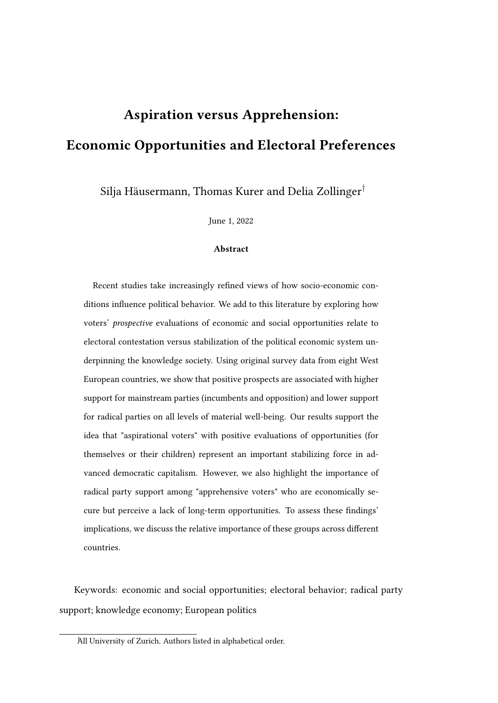# Aspiration versus Apprehension: Economic Opportunities and Electoral Preferences

Silja Häusermann, Thomas Kurer and Delia Zollinger†

June 1, 2022

#### Abstract

Recent studies take increasingly refined views of how socio-economic conditions influence political behavior. We add to this literature by exploring how voters' prospective evaluations of economic and social opportunities relate to electoral contestation versus stabilization of the political economic system underpinning the knowledge society. Using original survey data from eight West European countries, we show that positive prospects are associated with higher support for mainstream parties (incumbents and opposition) and lower support for radical parties on all levels of material well-being. Our results support the idea that "aspirational voters" with positive evaluations of opportunities (for themselves or their children) represent an important stabilizing force in advanced democratic capitalism. However, we also highlight the importance of radical party support among "apprehensive voters" who are economically secure but perceive a lack of long-term opportunities. To assess these findings' implications, we discuss the relative importance of these groups across different countries.

Keywords: economic and social opportunities; electoral behavior; radical party support; knowledge economy; European politics

<sup>†</sup>All University of Zurich. Authors listed in alphabetical order.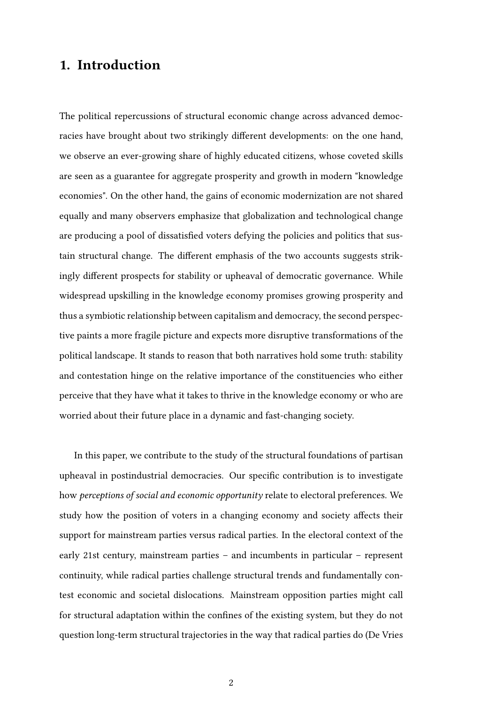### 1. Introduction

The political repercussions of structural economic change across advanced democracies have brought about two strikingly different developments: on the one hand, we observe an ever-growing share of highly educated citizens, whose coveted skills are seen as a guarantee for aggregate prosperity and growth in modern "knowledge economies". On the other hand, the gains of economic modernization are not shared equally and many observers emphasize that globalization and technological change are producing a pool of dissatisfied voters defying the policies and politics that sustain structural change. The different emphasis of the two accounts suggests strikingly different prospects for stability or upheaval of democratic governance. While widespread upskilling in the knowledge economy promises growing prosperity and thus a symbiotic relationship between capitalism and democracy, the second perspective paints a more fragile picture and expects more disruptive transformations of the political landscape. It stands to reason that both narratives hold some truth: stability and contestation hinge on the relative importance of the constituencies who either perceive that they have what it takes to thrive in the knowledge economy or who are worried about their future place in a dynamic and fast-changing society.

In this paper, we contribute to the study of the structural foundations of partisan upheaval in postindustrial democracies. Our specific contribution is to investigate how perceptions of social and economic opportunity relate to electoral preferences. We study how the position of voters in a changing economy and society affects their support for mainstream parties versus radical parties. In the electoral context of the early 21st century, mainstream parties – and incumbents in particular – represent continuity, while radical parties challenge structural trends and fundamentally contest economic and societal dislocations. Mainstream opposition parties might call for structural adaptation within the confines of the existing system, but they do not question long-term structural trajectories in the way that radical parties do (De Vries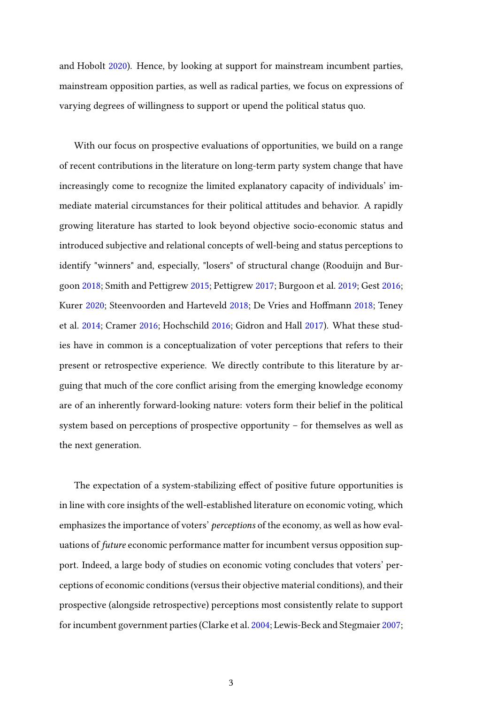and Hobolt [2020\)](#page-36-0). Hence, by looking at support for mainstream incumbent parties, mainstream opposition parties, as well as radical parties, we focus on expressions of varying degrees of willingness to support or upend the political status quo.

With our focus on prospective evaluations of opportunities, we build on a range of recent contributions in the literature on long-term party system change that have increasingly come to recognize the limited explanatory capacity of individuals' immediate material circumstances for their political attitudes and behavior. A rapidly growing literature has started to look beyond objective socio-economic status and introduced subjective and relational concepts of well-being and status perceptions to identify "winners" and, especially, "losers" of structural change (Rooduijn and Burgoon [2018;](#page-38-0) Smith and Pettigrew [2015;](#page-38-1) Pettigrew [2017;](#page-37-0) Burgoon et al. [2019;](#page-36-1) Gest [2016;](#page-36-2) Kurer [2020;](#page-37-1) Steenvoorden and Harteveld [2018;](#page-38-2) De Vries and Hoffmann [2018;](#page-36-3) Teney et al. [2014;](#page-38-3) Cramer [2016;](#page-36-4) Hochschild [2016;](#page-37-2) Gidron and Hall [2017\)](#page-36-5). What these studies have in common is a conceptualization of voter perceptions that refers to their present or retrospective experience. We directly contribute to this literature by arguing that much of the core conflict arising from the emerging knowledge economy are of an inherently forward-looking nature: voters form their belief in the political system based on perceptions of prospective opportunity – for themselves as well as the next generation.

The expectation of a system-stabilizing effect of positive future opportunities is in line with core insights of the well-established literature on economic voting, which emphasizes the importance of voters' perceptions of the economy, as well as how evaluations of future economic performance matter for incumbent versus opposition support. Indeed, a large body of studies on economic voting concludes that voters' perceptions of economic conditions (versus their objective material conditions), and their prospective (alongside retrospective) perceptions most consistently relate to support for incumbent government parties (Clarke et al. [2004;](#page-36-6) Lewis-Beck and Stegmaier [2007;](#page-37-3)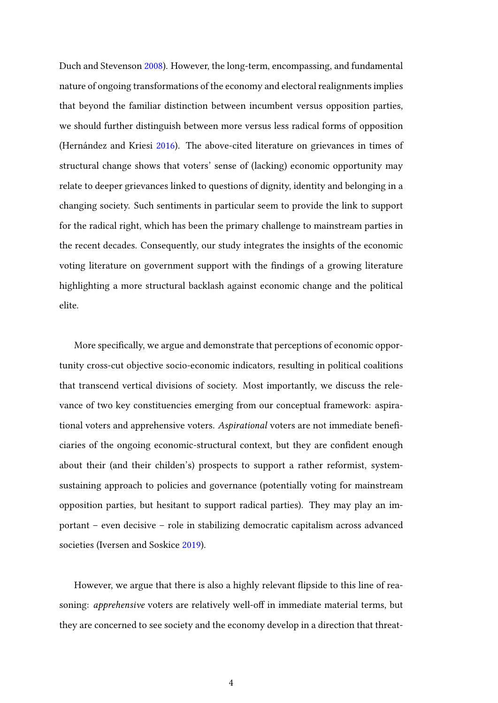Duch and Stevenson [2008\)](#page-36-7). However, the long-term, encompassing, and fundamental nature of ongoing transformations of the economy and electoral realignments implies that beyond the familiar distinction between incumbent versus opposition parties, we should further distinguish between more versus less radical forms of opposition (Hernández and Kriesi [2016\)](#page-37-4). The above-cited literature on grievances in times of structural change shows that voters' sense of (lacking) economic opportunity may relate to deeper grievances linked to questions of dignity, identity and belonging in a changing society. Such sentiments in particular seem to provide the link to support for the radical right, which has been the primary challenge to mainstream parties in the recent decades. Consequently, our study integrates the insights of the economic voting literature on government support with the findings of a growing literature highlighting a more structural backlash against economic change and the political elite.

More specifically, we argue and demonstrate that perceptions of economic opportunity cross-cut objective socio-economic indicators, resulting in political coalitions that transcend vertical divisions of society. Most importantly, we discuss the relevance of two key constituencies emerging from our conceptual framework: aspirational voters and apprehensive voters. Aspirational voters are not immediate beneficiaries of the ongoing economic-structural context, but they are confident enough about their (and their childen's) prospects to support a rather reformist, systemsustaining approach to policies and governance (potentially voting for mainstream opposition parties, but hesitant to support radical parties). They may play an important – even decisive – role in stabilizing democratic capitalism across advanced societies (Iversen and Soskice [2019\)](#page-37-5).

However, we argue that there is also a highly relevant flipside to this line of reasoning: apprehensive voters are relatively well-off in immediate material terms, but they are concerned to see society and the economy develop in a direction that threat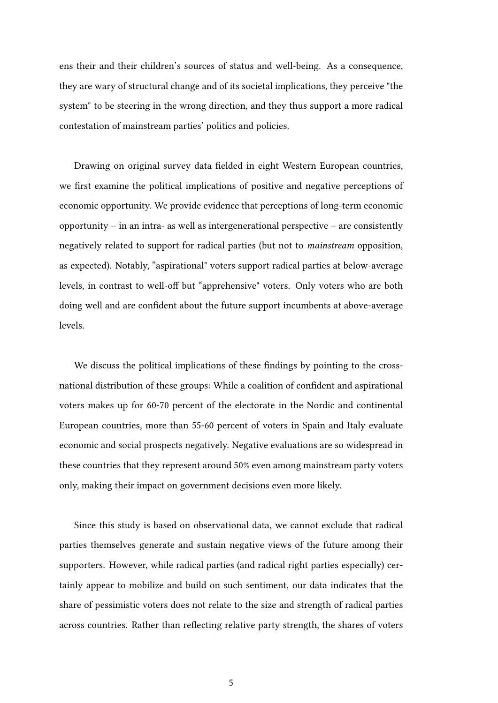ens their and their children's sources of status and well-being. As a consequence, they are wary of structural change and of its societal implications, they perceive "the system" to be steering in the wrong direction, and they thus support a more radical contestation of mainstream parties' politics and policies.

Drawing on original survey data fielded in eight Western European countries, we first examine the political implications of positive and negative perceptions of economic opportunity. We provide evidence that perceptions of long-term economic opportunity – in an intra- as well as intergenerational perspective – are consistently negatively related to support for radical parties (but not to mainstream opposition, as expected). Notably, "aspirational" voters support radical parties at below-average levels, in contrast to well-off but "apprehensive" voters. Only voters who are both doing well and are confident about the future support incumbents at above-average levels.

We discuss the political implications of these findings by pointing to the crossnational distribution of these groups: While a coalition of confident and aspirational voters makes up for 60-70 percent of the electorate in the Nordic and continental European countries, more than 55-60 percent of voters in Spain and Italy evaluate economic and social prospects negatively. Negative evaluations are so widespread in these countries that they represent around 50% even among mainstream party voters only, making their impact on government decisions even more likely.

Since this study is based on observational data, we cannot exclude that radical parties themselves generate and sustain negative views of the future among their supporters. However, while radical parties (and radical right parties especially) certainly appear to mobilize and build on such sentiment, our data indicates that the share of pessimistic voters does not relate to the size and strength of radical parties across countries. Rather than reflecting relative party strength, the shares of voters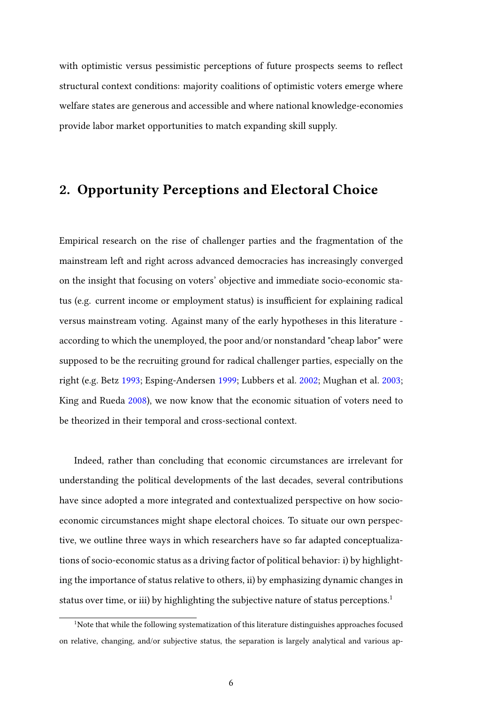with optimistic versus pessimistic perceptions of future prospects seems to reflect structural context conditions: majority coalitions of optimistic voters emerge where welfare states are generous and accessible and where national knowledge-economies provide labor market opportunities to match expanding skill supply.

### 2. Opportunity Perceptions and Electoral Choice

Empirical research on the rise of challenger parties and the fragmentation of the mainstream left and right across advanced democracies has increasingly converged on the insight that focusing on voters' objective and immediate socio-economic status (e.g. current income or employment status) is insufficient for explaining radical versus mainstream voting. Against many of the early hypotheses in this literature according to which the unemployed, the poor and/or nonstandard "cheap labor" were supposed to be the recruiting ground for radical challenger parties, especially on the right (e.g. Betz [1993;](#page-36-8) Esping-Andersen [1999;](#page-36-9) Lubbers et al. [2002;](#page-37-6) Mughan et al. [2003;](#page-37-7) King and Rueda [2008\)](#page-37-8), we now know that the economic situation of voters need to be theorized in their temporal and cross-sectional context.

Indeed, rather than concluding that economic circumstances are irrelevant for understanding the political developments of the last decades, several contributions have since adopted a more integrated and contextualized perspective on how socioeconomic circumstances might shape electoral choices. To situate our own perspective, we outline three ways in which researchers have so far adapted conceptualizations of socio-economic status as a driving factor of political behavior: i) by highlighting the importance of status relative to others, ii) by emphasizing dynamic changes in status over time, or iii) by highlighting the subjective nature of status perceptions.<sup>[1](#page-5-0)</sup>

<span id="page-5-0"></span><sup>&</sup>lt;sup>1</sup>Note that while the following systematization of this literature distinguishes approaches focused on relative, changing, and/or subjective status, the separation is largely analytical and various ap-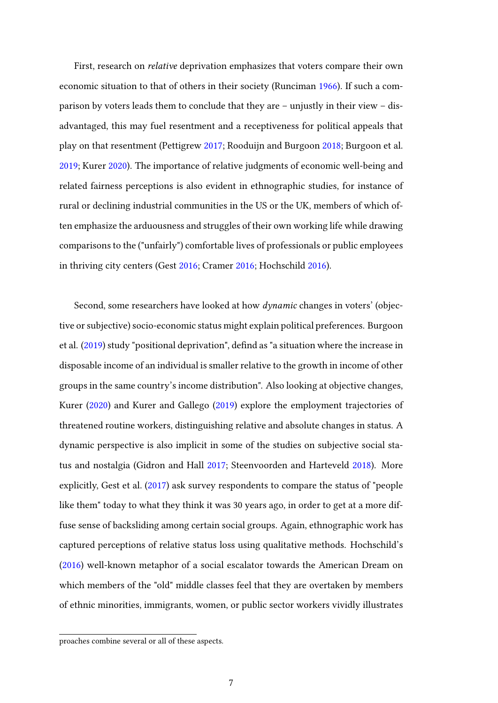First, research on relative deprivation emphasizes that voters compare their own economic situation to that of others in their society (Runciman [1966\)](#page-38-4). If such a comparison by voters leads them to conclude that they are – unjustly in their view – disadvantaged, this may fuel resentment and a receptiveness for political appeals that play on that resentment (Pettigrew [2017;](#page-37-0) Rooduijn and Burgoon [2018;](#page-38-0) Burgoon et al. [2019;](#page-36-1) Kurer [2020\)](#page-37-1). The importance of relative judgments of economic well-being and related fairness perceptions is also evident in ethnographic studies, for instance of rural or declining industrial communities in the US or the UK, members of which often emphasize the arduousness and struggles of their own working life while drawing comparisons to the ("unfairly") comfortable lives of professionals or public employees in thriving city centers (Gest [2016;](#page-36-2) Cramer [2016;](#page-36-4) Hochschild [2016\)](#page-37-2).

Second, some researchers have looked at how *dynamic* changes in voters' (objective or subjective) socio-economic status might explain political preferences. Burgoon et al. [\(2019\)](#page-36-1) study "positional deprivation", defind as "a situation where the increase in disposable income of an individual is smaller relative to the growth in income of other groups in the same country's income distribution". Also looking at objective changes, Kurer [\(2020\)](#page-37-1) and Kurer and Gallego [\(2019\)](#page-37-9) explore the employment trajectories of threatened routine workers, distinguishing relative and absolute changes in status. A dynamic perspective is also implicit in some of the studies on subjective social status and nostalgia (Gidron and Hall [2017;](#page-36-5) Steenvoorden and Harteveld [2018\)](#page-38-2). More explicitly, Gest et al. [\(2017\)](#page-36-10) ask survey respondents to compare the status of "people like them" today to what they think it was 30 years ago, in order to get at a more diffuse sense of backsliding among certain social groups. Again, ethnographic work has captured perceptions of relative status loss using qualitative methods. Hochschild's [\(2016\)](#page-37-2) well-known metaphor of a social escalator towards the American Dream on which members of the "old" middle classes feel that they are overtaken by members of ethnic minorities, immigrants, women, or public sector workers vividly illustrates

proaches combine several or all of these aspects.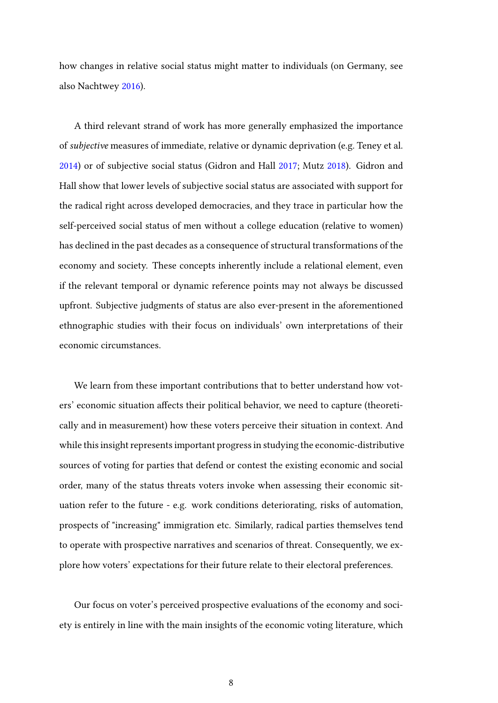how changes in relative social status might matter to individuals (on Germany, see also Nachtwey [2016\)](#page-37-10).

A third relevant strand of work has more generally emphasized the importance of subjective measures of immediate, relative or dynamic deprivation (e.g. Teney et al. [2014\)](#page-38-3) or of subjective social status (Gidron and Hall [2017;](#page-36-5) Mutz [2018\)](#page-37-11). Gidron and Hall show that lower levels of subjective social status are associated with support for the radical right across developed democracies, and they trace in particular how the self-perceived social status of men without a college education (relative to women) has declined in the past decades as a consequence of structural transformations of the economy and society. These concepts inherently include a relational element, even if the relevant temporal or dynamic reference points may not always be discussed upfront. Subjective judgments of status are also ever-present in the aforementioned ethnographic studies with their focus on individuals' own interpretations of their economic circumstances.

We learn from these important contributions that to better understand how voters' economic situation affects their political behavior, we need to capture (theoretically and in measurement) how these voters perceive their situation in context. And while this insight represents important progress in studying the economic-distributive sources of voting for parties that defend or contest the existing economic and social order, many of the status threats voters invoke when assessing their economic situation refer to the future - e.g. work conditions deteriorating, risks of automation, prospects of "increasing" immigration etc. Similarly, radical parties themselves tend to operate with prospective narratives and scenarios of threat. Consequently, we explore how voters' expectations for their future relate to their electoral preferences.

Our focus on voter's perceived prospective evaluations of the economy and society is entirely in line with the main insights of the economic voting literature, which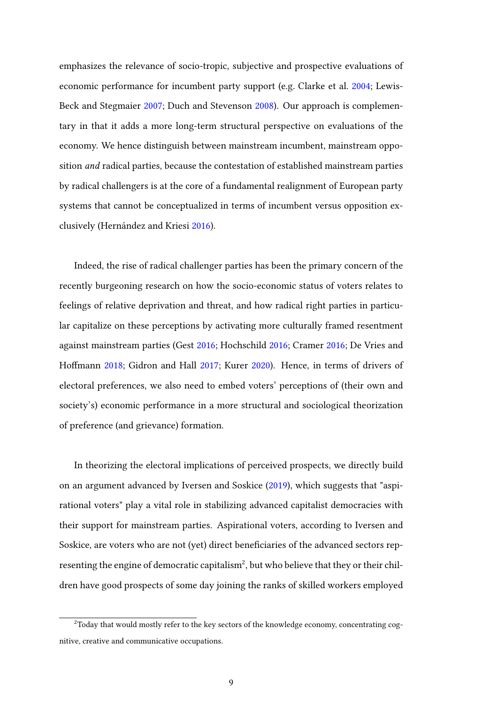emphasizes the relevance of socio-tropic, subjective and prospective evaluations of economic performance for incumbent party support (e.g. Clarke et al. [2004;](#page-36-6) Lewis-Beck and Stegmaier [2007;](#page-37-3) Duch and Stevenson [2008\)](#page-36-7). Our approach is complementary in that it adds a more long-term structural perspective on evaluations of the economy. We hence distinguish between mainstream incumbent, mainstream opposition and radical parties, because the contestation of established mainstream parties by radical challengers is at the core of a fundamental realignment of European party systems that cannot be conceptualized in terms of incumbent versus opposition exclusively (Hernández and Kriesi [2016\)](#page-37-12).

Indeed, the rise of radical challenger parties has been the primary concern of the recently burgeoning research on how the socio-economic status of voters relates to feelings of relative deprivation and threat, and how radical right parties in particular capitalize on these perceptions by activating more culturally framed resentment against mainstream parties (Gest [2016;](#page-36-2) Hochschild [2016;](#page-37-2) Cramer [2016;](#page-36-4) De Vries and Hoffmann [2018;](#page-36-3) Gidron and Hall [2017;](#page-36-5) Kurer [2020\)](#page-37-1). Hence, in terms of drivers of electoral preferences, we also need to embed voters' perceptions of (their own and society's) economic performance in a more structural and sociological theorization of preference (and grievance) formation.

In theorizing the electoral implications of perceived prospects, we directly build on an argument advanced by Iversen and Soskice [\(2019\)](#page-37-5), which suggests that "aspirational voters" play a vital role in stabilizing advanced capitalist democracies with their support for mainstream parties. Aspirational voters, according to Iversen and Soskice, are voters who are not (yet) direct beneficiaries of the advanced sectors rep-resenting the engine of democratic capitalism<sup>[2](#page-8-0)</sup>, but who believe that they or their children have good prospects of some day joining the ranks of skilled workers employed

<span id="page-8-0"></span><sup>&</sup>lt;sup>2</sup>Today that would mostly refer to the key sectors of the knowledge economy, concentrating cognitive, creative and communicative occupations.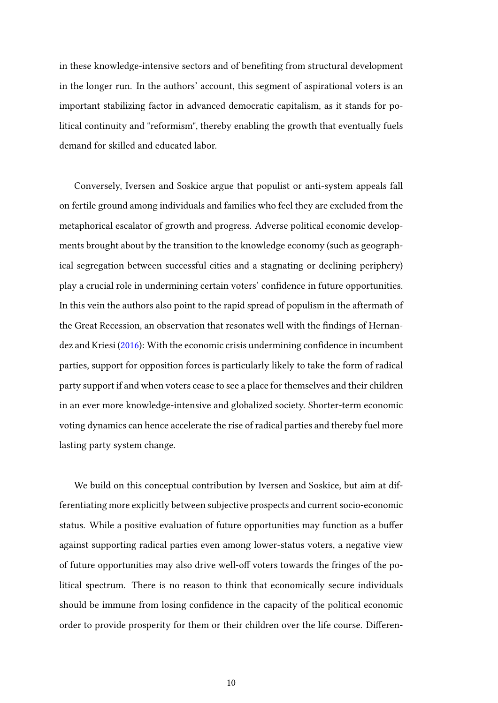in these knowledge-intensive sectors and of benefiting from structural development in the longer run. In the authors' account, this segment of aspirational voters is an important stabilizing factor in advanced democratic capitalism, as it stands for political continuity and "reformism", thereby enabling the growth that eventually fuels demand for skilled and educated labor.

Conversely, Iversen and Soskice argue that populist or anti-system appeals fall on fertile ground among individuals and families who feel they are excluded from the metaphorical escalator of growth and progress. Adverse political economic developments brought about by the transition to the knowledge economy (such as geographical segregation between successful cities and a stagnating or declining periphery) play a crucial role in undermining certain voters' confidence in future opportunities. In this vein the authors also point to the rapid spread of populism in the aftermath of the Great Recession, an observation that resonates well with the findings of Hernandez and Kriesi [\(2016\)](#page-37-12): With the economic crisis undermining confidence in incumbent parties, support for opposition forces is particularly likely to take the form of radical party support if and when voters cease to see a place for themselves and their children in an ever more knowledge-intensive and globalized society. Shorter-term economic voting dynamics can hence accelerate the rise of radical parties and thereby fuel more lasting party system change.

We build on this conceptual contribution by Iversen and Soskice, but aim at differentiating more explicitly between subjective prospects and current socio-economic status. While a positive evaluation of future opportunities may function as a buffer against supporting radical parties even among lower-status voters, a negative view of future opportunities may also drive well-off voters towards the fringes of the political spectrum. There is no reason to think that economically secure individuals should be immune from losing confidence in the capacity of the political economic order to provide prosperity for them or their children over the life course. Differen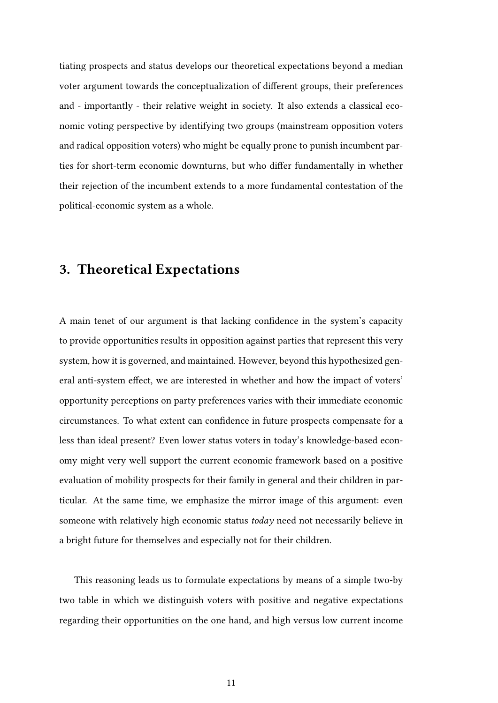tiating prospects and status develops our theoretical expectations beyond a median voter argument towards the conceptualization of different groups, their preferences and - importantly - their relative weight in society. It also extends a classical economic voting perspective by identifying two groups (mainstream opposition voters and radical opposition voters) who might be equally prone to punish incumbent parties for short-term economic downturns, but who differ fundamentally in whether their rejection of the incumbent extends to a more fundamental contestation of the political-economic system as a whole.

#### 3. Theoretical Expectations

A main tenet of our argument is that lacking confidence in the system's capacity to provide opportunities results in opposition against parties that represent this very system, how it is governed, and maintained. However, beyond this hypothesized general anti-system effect, we are interested in whether and how the impact of voters' opportunity perceptions on party preferences varies with their immediate economic circumstances. To what extent can confidence in future prospects compensate for a less than ideal present? Even lower status voters in today's knowledge-based economy might very well support the current economic framework based on a positive evaluation of mobility prospects for their family in general and their children in particular. At the same time, we emphasize the mirror image of this argument: even someone with relatively high economic status today need not necessarily believe in a bright future for themselves and especially not for their children.

This reasoning leads us to formulate expectations by means of a simple two-by two table in which we distinguish voters with positive and negative expectations regarding their opportunities on the one hand, and high versus low current income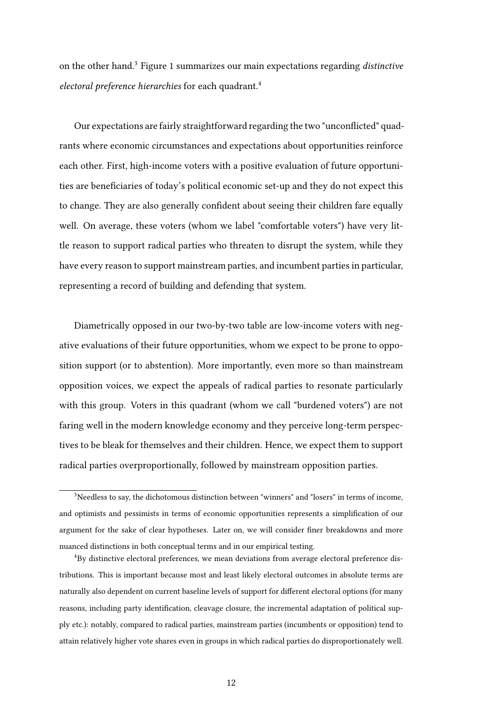on the other hand.[3](#page-11-0) Figure [1](#page-12-0) summarizes our main expectations regarding distinctive electoral preference hierarchies for each quadrant.<sup>[4](#page-11-1)</sup>

Our expectations are fairly straightforward regarding the two "unconflicted" quadrants where economic circumstances and expectations about opportunities reinforce each other. First, high-income voters with a positive evaluation of future opportunities are beneficiaries of today's political economic set-up and they do not expect this to change. They are also generally confident about seeing their children fare equally well. On average, these voters (whom we label "comfortable voters") have very little reason to support radical parties who threaten to disrupt the system, while they have every reason to support mainstream parties, and incumbent parties in particular, representing a record of building and defending that system.

Diametrically opposed in our two-by-two table are low-income voters with negative evaluations of their future opportunities, whom we expect to be prone to opposition support (or to abstention). More importantly, even more so than mainstream opposition voices, we expect the appeals of radical parties to resonate particularly with this group. Voters in this quadrant (whom we call "burdened voters") are not faring well in the modern knowledge economy and they perceive long-term perspectives to be bleak for themselves and their children. Hence, we expect them to support radical parties overproportionally, followed by mainstream opposition parties.

<span id="page-11-0"></span> $3$ Needless to say, the dichotomous distinction between "winners" and "losers" in terms of income, and optimists and pessimists in terms of economic opportunities represents a simplification of our argument for the sake of clear hypotheses. Later on, we will consider finer breakdowns and more nuanced distinctions in both conceptual terms and in our empirical testing.

<span id="page-11-1"></span><sup>4</sup>By distinctive electoral preferences, we mean deviations from average electoral preference distributions. This is important because most and least likely electoral outcomes in absolute terms are naturally also dependent on current baseline levels of support for different electoral options (for many reasons, including party identification, cleavage closure, the incremental adaptation of political supply etc.): notably, compared to radical parties, mainstream parties (incumbents or opposition) tend to attain relatively higher vote shares even in groups in which radical parties do disproportionately well.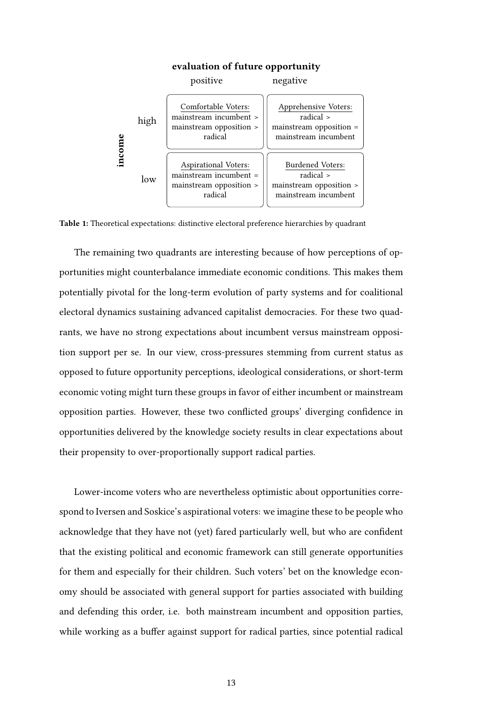<span id="page-12-0"></span>

#### evaluation of future opportunity

Table 1: Theoretical expectations: distinctive electoral preference hierarchies by quadrant

The remaining two quadrants are interesting because of how perceptions of opportunities might counterbalance immediate economic conditions. This makes them potentially pivotal for the long-term evolution of party systems and for coalitional electoral dynamics sustaining advanced capitalist democracies. For these two quadrants, we have no strong expectations about incumbent versus mainstream opposition support per se. In our view, cross-pressures stemming from current status as opposed to future opportunity perceptions, ideological considerations, or short-term economic voting might turn these groups in favor of either incumbent or mainstream opposition parties. However, these two conflicted groups' diverging confidence in opportunities delivered by the knowledge society results in clear expectations about their propensity to over-proportionally support radical parties.

Lower-income voters who are nevertheless optimistic about opportunities correspond to Iversen and Soskice's aspirational voters: we imagine these to be people who acknowledge that they have not (yet) fared particularly well, but who are confident that the existing political and economic framework can still generate opportunities for them and especially for their children. Such voters' bet on the knowledge economy should be associated with general support for parties associated with building and defending this order, i.e. both mainstream incumbent and opposition parties, while working as a buffer against support for radical parties, since potential radical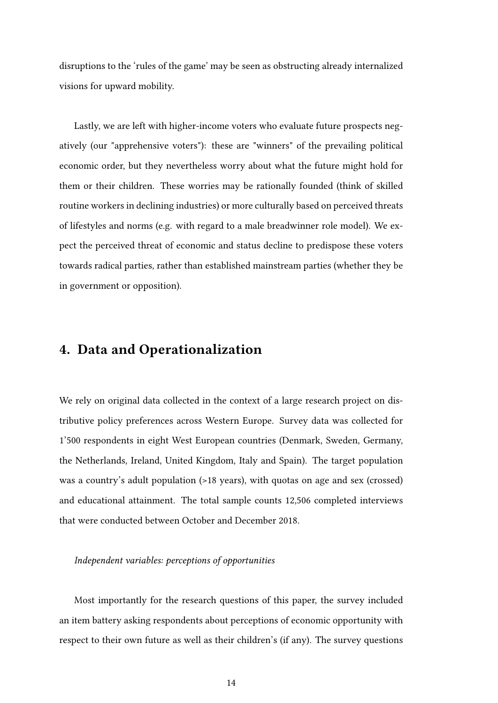disruptions to the 'rules of the game' may be seen as obstructing already internalized visions for upward mobility.

Lastly, we are left with higher-income voters who evaluate future prospects negatively (our "apprehensive voters"): these are "winners" of the prevailing political economic order, but they nevertheless worry about what the future might hold for them or their children. These worries may be rationally founded (think of skilled routine workers in declining industries) or more culturally based on perceived threats of lifestyles and norms (e.g. with regard to a male breadwinner role model). We expect the perceived threat of economic and status decline to predispose these voters towards radical parties, rather than established mainstream parties (whether they be in government or opposition).

#### 4. Data and Operationalization

We rely on original data collected in the context of a large research project on distributive policy preferences across Western Europe. Survey data was collected for 1'500 respondents in eight West European countries (Denmark, Sweden, Germany, the Netherlands, Ireland, United Kingdom, Italy and Spain). The target population was a country's adult population (>18 years), with quotas on age and sex (crossed) and educational attainment. The total sample counts 12,506 completed interviews that were conducted between October and December 2018.

#### Independent variables: perceptions of opportunities

Most importantly for the research questions of this paper, the survey included an item battery asking respondents about perceptions of economic opportunity with respect to their own future as well as their children's (if any). The survey questions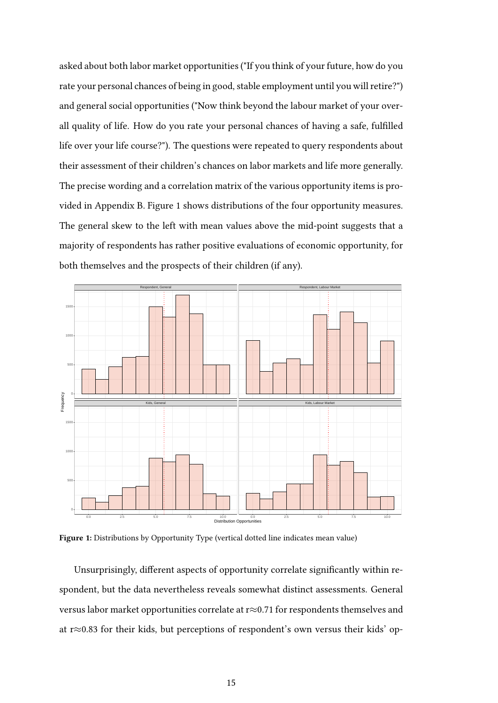asked about both labor market opportunities ("If you think of your future, how do you rate your personal chances of being in good, stable employment until you will retire?") and general social opportunities ("Now think beyond the labour market of your overall quality of life. How do you rate your personal chances of having a safe, fulfilled life over your life course?"). The questions were repeated to query respondents about their assessment of their children's chances on labor markets and life more generally. The precise wording and a correlation matrix of the various opportunity items is provided in Appendix [B.](#page-40-0) Figure [1](#page-14-0) shows distributions of the four opportunity measures. The general skew to the left with mean values above the mid-point suggests that a majority of respondents has rather positive evaluations of economic opportunity, for both themselves and the prospects of their children (if any).

<span id="page-14-0"></span>

Figure 1: Distributions by Opportunity Type (vertical dotted line indicates mean value)

Unsurprisingly, different aspects of opportunity correlate significantly within respondent, but the data nevertheless reveals somewhat distinct assessments. General versus labor market opportunities correlate at r≈0.71 for respondents themselves and at r≈0.83 for their kids, but perceptions of respondent's own versus their kids' op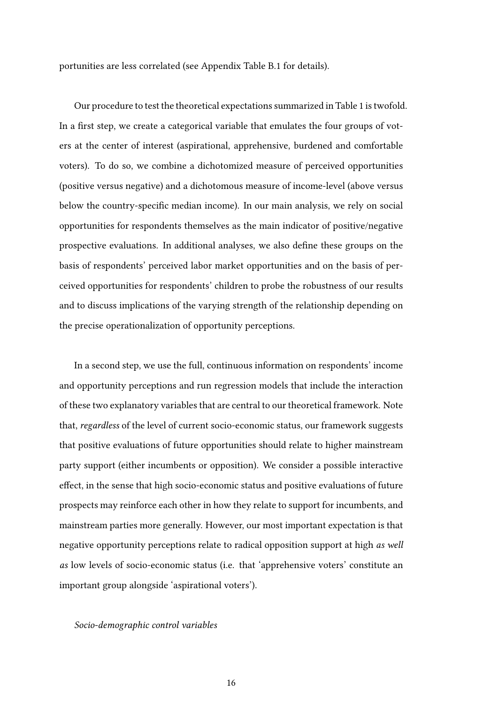portunities are less correlated (see Appendix Table [B.1](#page-40-1) for details).

Our procedure to test the theoretical expectations summarized in Table [1](#page-12-0) is twofold. In a first step, we create a categorical variable that emulates the four groups of voters at the center of interest (aspirational, apprehensive, burdened and comfortable voters). To do so, we combine a dichotomized measure of perceived opportunities (positive versus negative) and a dichotomous measure of income-level (above versus below the country-specific median income). In our main analysis, we rely on social opportunities for respondents themselves as the main indicator of positive/negative prospective evaluations. In additional analyses, we also define these groups on the basis of respondents' perceived labor market opportunities and on the basis of perceived opportunities for respondents' children to probe the robustness of our results and to discuss implications of the varying strength of the relationship depending on the precise operationalization of opportunity perceptions.

In a second step, we use the full, continuous information on respondents' income and opportunity perceptions and run regression models that include the interaction of these two explanatory variables that are central to our theoretical framework. Note that, regardless of the level of current socio-economic status, our framework suggests that positive evaluations of future opportunities should relate to higher mainstream party support (either incumbents or opposition). We consider a possible interactive effect, in the sense that high socio-economic status and positive evaluations of future prospects may reinforce each other in how they relate to support for incumbents, and mainstream parties more generally. However, our most important expectation is that negative opportunity perceptions relate to radical opposition support at high as well as low levels of socio-economic status (i.e. that 'apprehensive voters' constitute an important group alongside 'aspirational voters').

#### Socio-demographic control variables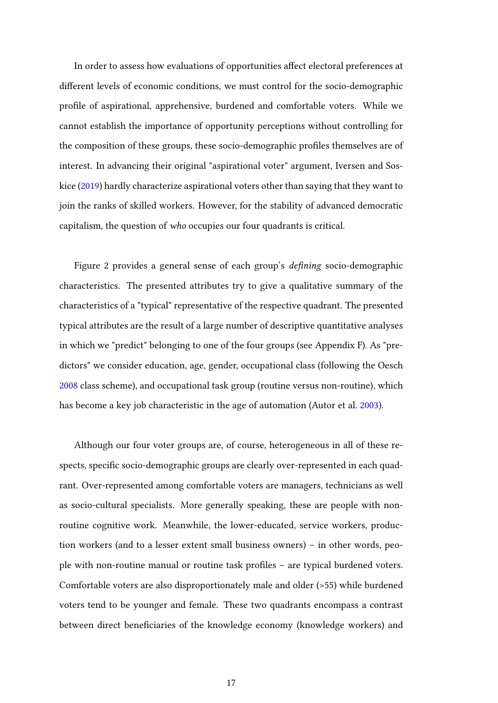In order to assess how evaluations of opportunities affect electoral preferences at different levels of economic conditions, we must control for the socio-demographic profile of aspirational, apprehensive, burdened and comfortable voters. While we cannot establish the importance of opportunity perceptions without controlling for the composition of these groups, these socio-demographic profiles themselves are of interest. In advancing their original "aspirational voter" argument, Iversen and Soskice [\(2019\)](#page-37-5) hardly characterize aspirational voters other than saying that they want to join the ranks of skilled workers. However, for the stability of advanced democratic capitalism, the question of who occupies our four quadrants is critical.

Figure [2](#page-18-0) provides a general sense of each group's defining socio-demographic characteristics. The presented attributes try to give a qualitative summary of the characteristics of a "typical" representative of the respective quadrant. The presented typical attributes are the result of a large number of descriptive quantitative analyses in which we "predict" belonging to one of the four groups (see Appendix [F\)](#page-57-0). As "predictors" we consider education, age, gender, occupational class (following the Oesch [2008](#page-37-13) class scheme), and occupational task group (routine versus non-routine), which has become a key job characteristic in the age of automation (Autor et al. [2003\)](#page-36-11).

Although our four voter groups are, of course, heterogeneous in all of these respects, specific socio-demographic groups are clearly over-represented in each quadrant. Over-represented among comfortable voters are managers, technicians as well as socio-cultural specialists. More generally speaking, these are people with nonroutine cognitive work. Meanwhile, the lower-educated, service workers, production workers (and to a lesser extent small business owners) – in other words, people with non-routine manual or routine task profiles – are typical burdened voters. Comfortable voters are also disproportionately male and older (>55) while burdened voters tend to be younger and female. These two quadrants encompass a contrast between direct beneficiaries of the knowledge economy (knowledge workers) and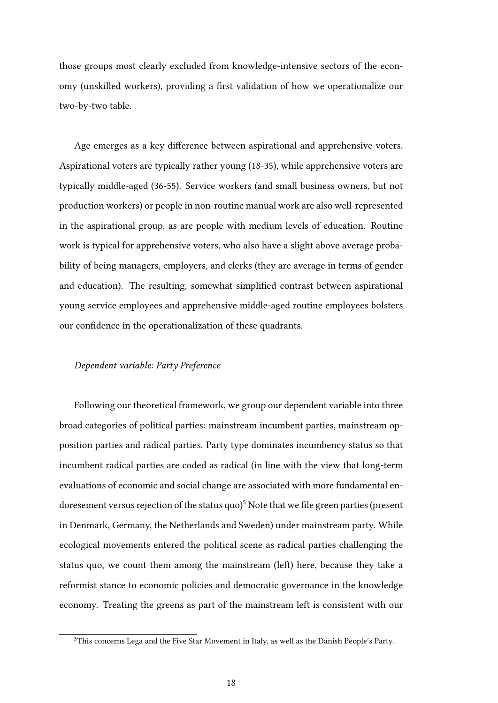those groups most clearly excluded from knowledge-intensive sectors of the economy (unskilled workers), providing a first validation of how we operationalize our two-by-two table.

Age emerges as a key difference between aspirational and apprehensive voters. Aspirational voters are typically rather young (18-35), while apprehensive voters are typically middle-aged (36-55). Service workers (and small business owners, but not production workers) or people in non-routine manual work are also well-represented in the aspirational group, as are people with medium levels of education. Routine work is typical for apprehensive voters, who also have a slight above average probability of being managers, employers, and clerks (they are average in terms of gender and education). The resulting, somewhat simplified contrast between aspirational young service employees and apprehensive middle-aged routine employees bolsters our confidence in the operationalization of these quadrants.

#### Dependent variable: Party Preference

Following our theoretical framework, we group our dependent variable into three broad categories of political parties: mainstream incumbent parties, mainstream opposition parties and radical parties. Party type dominates incumbency status so that incumbent radical parties are coded as radical (in line with the view that long-term evaluations of economic and social change are associated with more fundamental endoresement versus rejection of the status quo<sup> $5$ </sup> Note that we file green parties (present in Denmark, Germany, the Netherlands and Sweden) under mainstream party. While ecological movements entered the political scene as radical parties challenging the status quo, we count them among the mainstream (left) here, because they take a reformist stance to economic policies and democratic governance in the knowledge economy. Treating the greens as part of the mainstream left is consistent with our

<span id="page-17-0"></span><sup>&</sup>lt;sup>5</sup>This concerns Lega and the Five Star Movement in Italy, as well as the Danish People's Party.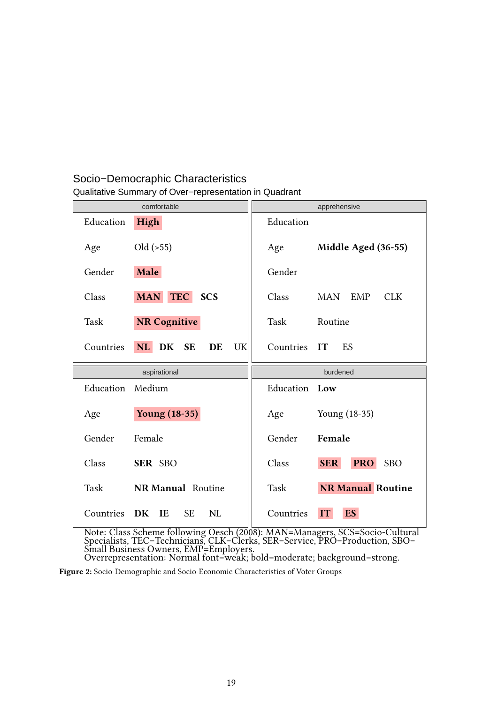#### <span id="page-18-0"></span>Qualitative Summary of Over−representation in Quadrant Socio−Democraphic Characteristics

|                  | comfortable<br>apprehensive            |                                                 |  |
|------------------|----------------------------------------|-------------------------------------------------|--|
| Education        | <b>High</b>                            | Education                                       |  |
| Age              | $Old \left( > 55 \right)$              | Middle Aged (36-55)<br>Age                      |  |
| Gender           | Male                                   | Gender                                          |  |
| Class            | <b>MAN</b><br><b>TEC</b><br><b>SCS</b> | Class<br><b>EMP</b><br><b>CLK</b><br><b>MAN</b> |  |
| Task             | <b>NR Cognitive</b>                    | Task<br>Routine                                 |  |
| Countries        | NL DK<br><b>SE</b><br>DE<br>UK         | Countries IT<br>ES                              |  |
|                  |                                        |                                                 |  |
|                  | aspirational                           | burdened                                        |  |
| Education Medium |                                        | Education Low                                   |  |
| Age              | <b>Young (18-35)</b>                   | Young (18-35)<br>Age                            |  |
| Gender           | Female                                 | Gender<br>Female                                |  |
| Class            | SER SBO                                | <b>SER</b><br><b>PRO</b><br><b>SBO</b><br>Class |  |
| Task             | <b>NR Manual Routine</b>               | <b>NR Manual Routine</b><br>Task                |  |

Note: Class Scheme following Oesch (2008): MAN=Managers, SCS=Socio-Cultural Specialists, TEC=Technicians, CLK=Clerks, SER=Service, PRO=Production, SBO= Small Business Owners, EMP=Employers. Overrepresentation: Normal font=weak; bold=moderate; background=strong.

Figure 2: Socio-Demographic and Socio-Economic Characteristics of Voter Groups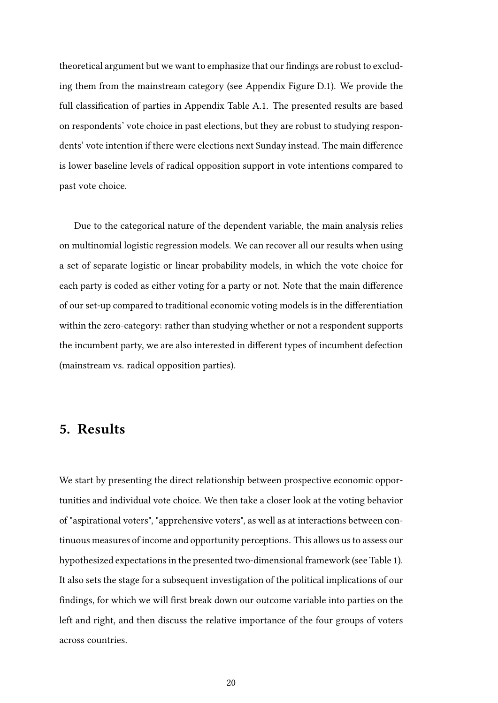theoretical argument but we want to emphasize that our findings are robust to excluding them from the mainstream category (see Appendix Figure [D.1\)](#page-47-0). We provide the full classification of parties in Appendix Table [A.1.](#page-39-0) The presented results are based on respondents' vote choice in past elections, but they are robust to studying respondents' vote intention if there were elections next Sunday instead. The main difference is lower baseline levels of radical opposition support in vote intentions compared to past vote choice.

Due to the categorical nature of the dependent variable, the main analysis relies on multinomial logistic regression models. We can recover all our results when using a set of separate logistic or linear probability models, in which the vote choice for each party is coded as either voting for a party or not. Note that the main difference of our set-up compared to traditional economic voting models is in the differentiation within the zero-category: rather than studying whether or not a respondent supports the incumbent party, we are also interested in different types of incumbent defection (mainstream vs. radical opposition parties).

#### 5. Results

We start by presenting the direct relationship between prospective economic opportunities and individual vote choice. We then take a closer look at the voting behavior of "aspirational voters", "apprehensive voters", as well as at interactions between continuous measures of income and opportunity perceptions. This allows us to assess our hypothesized expectations in the presented two-dimensional framework (see Table [1\)](#page-12-0). It also sets the stage for a subsequent investigation of the political implications of our findings, for which we will first break down our outcome variable into parties on the left and right, and then discuss the relative importance of the four groups of voters across countries.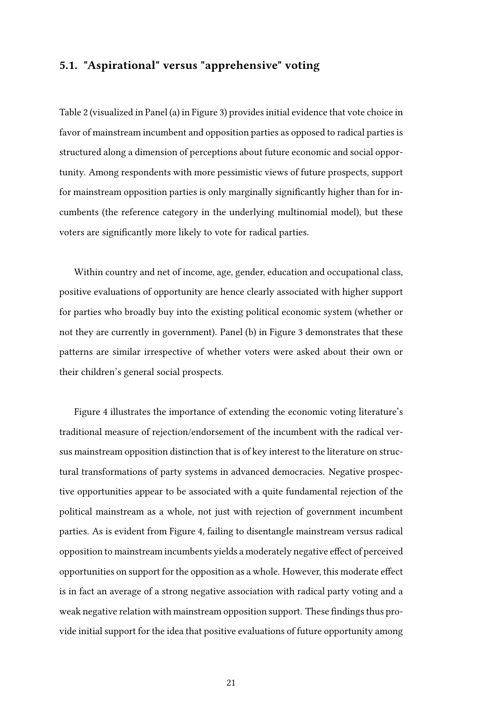#### 5.1. "Aspirational" versus "apprehensive" voting

Table [2](#page-21-0) (visualized in Panel (a) in Figure [3\)](#page-22-0) provides initial evidence that vote choice in favor of mainstream incumbent and opposition parties as opposed to radical parties is structured along a dimension of perceptions about future economic and social opportunity. Among respondents with more pessimistic views of future prospects, support for mainstream opposition parties is only marginally significantly higher than for incumbents (the reference category in the underlying multinomial model), but these voters are significantly more likely to vote for radical parties.

Within country and net of income, age, gender, education and occupational class, positive evaluations of opportunity are hence clearly associated with higher support for parties who broadly buy into the existing political economic system (whether or not they are currently in government). Panel (b) in Figure [3](#page-22-0) demonstrates that these patterns are similar irrespective of whether voters were asked about their own or their children's general social prospects.

Figure [4](#page-22-1) illustrates the importance of extending the economic voting literature's traditional measure of rejection/endorsement of the incumbent with the radical versus mainstream opposition distinction that is of key interest to the literature on structural transformations of party systems in advanced democracies. Negative prospective opportunities appear to be associated with a quite fundamental rejection of the political mainstream as a whole, not just with rejection of government incumbent parties. As is evident from Figure [4,](#page-22-1) failing to disentangle mainstream versus radical opposition to mainstream incumbents yields a moderately negative effect of perceived opportunities on support for the opposition as a whole. However, this moderate effect is in fact an average of a strong negative association with radical party voting and a weak negative relation with mainstream opposition support. These findings thus provide initial support for the idea that positive evaluations of future opportunity among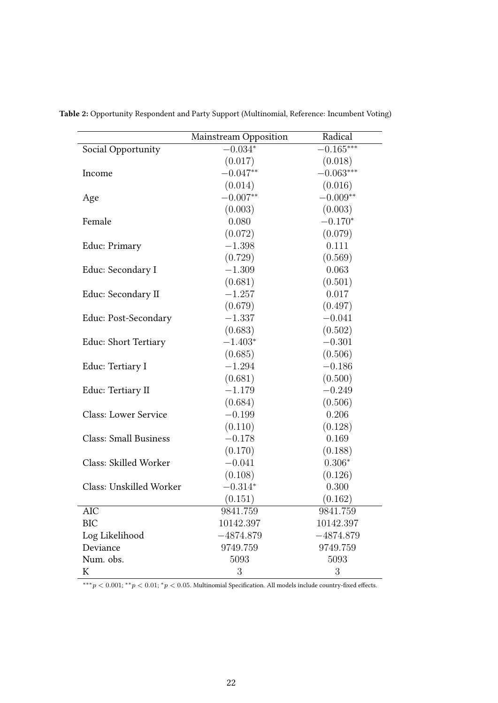|                              | Mainstream Opposition | Radical     |
|------------------------------|-----------------------|-------------|
| Social Opportunity           | $-0.034*$             | $-0.165***$ |
|                              | (0.017)               | (0.018)     |
| Income                       | $-0.047**$            | $-0.063***$ |
|                              | (0.014)               | (0.016)     |
| Age                          | $-0.007**$            | $-0.009**$  |
|                              | (0.003)               | (0.003)     |
| Female                       | 0.080                 | $-0.170*$   |
|                              | (0.072)               | (0.079)     |
| Educ: Primary                | $-1.398$              | 0.111       |
|                              | (0.729)               | (0.569)     |
| Educ: Secondary I            | $-1.309$              | 0.063       |
|                              | (0.681)               | (0.501)     |
| Educ: Secondary II           | $-1.257$              | 0.017       |
|                              | (0.679)               | (0.497)     |
| Educ: Post-Secondary         | $-1.337$              | $-0.041$    |
|                              | (0.683)               | (0.502)     |
| Educ: Short Tertiary         | $-1.403*$             | $-0.301$    |
|                              | (0.685)               | (0.506)     |
| Educ: Tertiary I             | $-1.294$              | $-0.186$    |
|                              | (0.681)               | (0.500)     |
| Educ: Tertiary II            | $-1.179$              | $-0.249$    |
|                              | (0.684)               | (0.506)     |
| <b>Class: Lower Service</b>  | $-0.199$              | 0.206       |
|                              | (0.110)               | (0.128)     |
| <b>Class: Small Business</b> | $-0.178$              | 0.169       |
|                              | (0.170)               | (0.188)     |
| Class: Skilled Worker        | $-0.041$              | $0.306*$    |
|                              | (0.108)               | (0.126)     |
| Class: Unskilled Worker      | $-0.314*$             | 0.300       |
|                              | (0.151)               | (0.162)     |
| AIC                          | 9841.759              | 9841.759    |
| <b>BIC</b>                   | 10142.397             | 10142.397   |
| Log Likelihood               | $-4874.879$           | $-4874.879$ |
| Deviance                     | 9749.759              | 9749.759    |
| Num. obs.                    | 5093                  | 5093        |
| K                            | 3                     | 3           |

<span id="page-21-0"></span>Table 2: Opportunity Respondent and Party Support (Multinomial, Reference: Incumbent Voting)

∗∗∗*p <* 0*.*001; ∗∗*p <* 0*.*01; <sup>∗</sup>*p <* 0*.*05. Multinomial Specification. All models include country-fixed effects.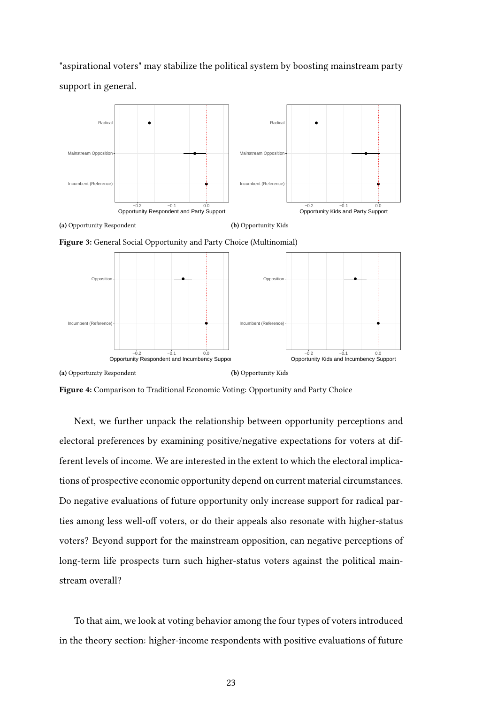"aspirational voters" may stabilize the political system by boosting mainstream party support in general.

<span id="page-22-0"></span>

Figure 3: General Social Opportunity and Party Choice (Multinomial)

<span id="page-22-1"></span>

Figure 4: Comparison to Traditional Economic Voting: Opportunity and Party Choice

Next, we further unpack the relationship between opportunity perceptions and electoral preferences by examining positive/negative expectations for voters at different levels of income. We are interested in the extent to which the electoral implications of prospective economic opportunity depend on current material circumstances. Do negative evaluations of future opportunity only increase support for radical parties among less well-off voters, or do their appeals also resonate with higher-status voters? Beyond support for the mainstream opposition, can negative perceptions of long-term life prospects turn such higher-status voters against the political mainstream overall?

To that aim, we look at voting behavior among the four types of voters introduced in the theory section: higher-income respondents with positive evaluations of future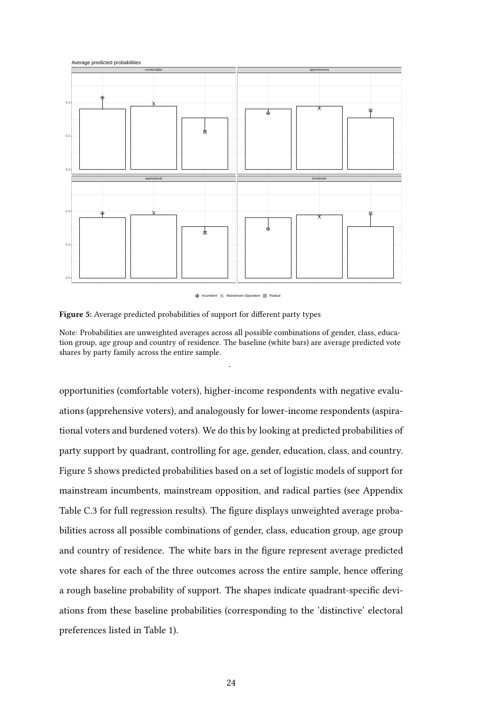<span id="page-23-0"></span>



Note: Probabilities are unweighted averages across all possible combinations of gender, class, education group, age group and country of residence. The baseline (white bars) are average predicted vote shares by party family across the entire sample.

.

opportunities (comfortable voters), higher-income respondents with negative evaluations (apprehensive voters), and analogously for lower-income respondents (aspirational voters and burdened voters). We do this by looking at predicted probabilities of party support by quadrant, controlling for age, gender, education, class, and country. Figure [5](#page-23-0) shows predicted probabilities based on a set of logistic models of support for mainstream incumbents, mainstream opposition, and radical parties (see Appendix Table [C.3](#page-44-0) for full regression results). The figure displays unweighted average probabilities across all possible combinations of gender, class, education group, age group and country of residence. The white bars in the figure represent average predicted vote shares for each of the three outcomes across the entire sample, hence offering a rough baseline probability of support. The shapes indicate quadrant-specific deviations from these baseline probabilities (corresponding to the 'distinctive' electoral preferences listed in Table [1\)](#page-12-0).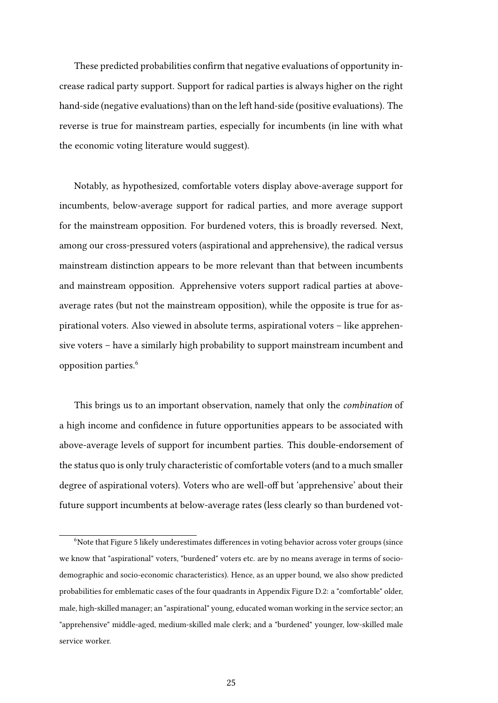These predicted probabilities confirm that negative evaluations of opportunity increase radical party support. Support for radical parties is always higher on the right hand-side (negative evaluations) than on the left hand-side (positive evaluations). The reverse is true for mainstream parties, especially for incumbents (in line with what the economic voting literature would suggest).

Notably, as hypothesized, comfortable voters display above-average support for incumbents, below-average support for radical parties, and more average support for the mainstream opposition. For burdened voters, this is broadly reversed. Next, among our cross-pressured voters (aspirational and apprehensive), the radical versus mainstream distinction appears to be more relevant than that between incumbents and mainstream opposition. Apprehensive voters support radical parties at aboveaverage rates (but not the mainstream opposition), while the opposite is true for aspirational voters. Also viewed in absolute terms, aspirational voters – like apprehensive voters – have a similarly high probability to support mainstream incumbent and opposition parties.<sup>[6](#page-24-0)</sup>

This brings us to an important observation, namely that only the combination of a high income and confidence in future opportunities appears to be associated with above-average levels of support for incumbent parties. This double-endorsement of the status quo is only truly characteristic of comfortable voters (and to a much smaller degree of aspirational voters). Voters who are well-off but 'apprehensive' about their future support incumbents at below-average rates (less clearly so than burdened vot-

<span id="page-24-0"></span><sup>&</sup>lt;sup>6</sup>Note that Figure [5](#page-23-0) likely underestimates differences in voting behavior across voter groups (since we know that "aspirational" voters, "burdened" voters etc. are by no means average in terms of sociodemographic and socio-economic characteristics). Hence, as an upper bound, we also show predicted probabilities for emblematic cases of the four quadrants in Appendix Figure [D.2:](#page-48-0) a "comfortable" older, male, high-skilled manager; an "aspirational" young, educated woman working in the service sector; an "apprehensive" middle-aged, medium-skilled male clerk; and a "burdened" younger, low-skilled male service worker.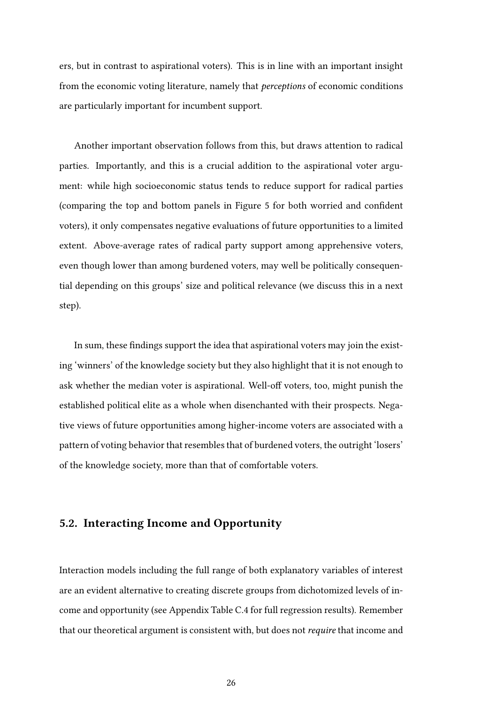ers, but in contrast to aspirational voters). This is in line with an important insight from the economic voting literature, namely that perceptions of economic conditions are particularly important for incumbent support.

Another important observation follows from this, but draws attention to radical parties. Importantly, and this is a crucial addition to the aspirational voter argument: while high socioeconomic status tends to reduce support for radical parties (comparing the top and bottom panels in Figure [5](#page-23-0) for both worried and confident voters), it only compensates negative evaluations of future opportunities to a limited extent. Above-average rates of radical party support among apprehensive voters, even though lower than among burdened voters, may well be politically consequential depending on this groups' size and political relevance (we discuss this in a next step).

In sum, these findings support the idea that aspirational voters may join the existing 'winners' of the knowledge society but they also highlight that it is not enough to ask whether the median voter is aspirational. Well-off voters, too, might punish the established political elite as a whole when disenchanted with their prospects. Negative views of future opportunities among higher-income voters are associated with a pattern of voting behavior that resembles that of burdened voters, the outright 'losers' of the knowledge society, more than that of comfortable voters.

#### 5.2. Interacting Income and Opportunity

Interaction models including the full range of both explanatory variables of interest are an evident alternative to creating discrete groups from dichotomized levels of income and opportunity (see Appendix Table [C.4](#page-45-0) for full regression results). Remember that our theoretical argument is consistent with, but does not require that income and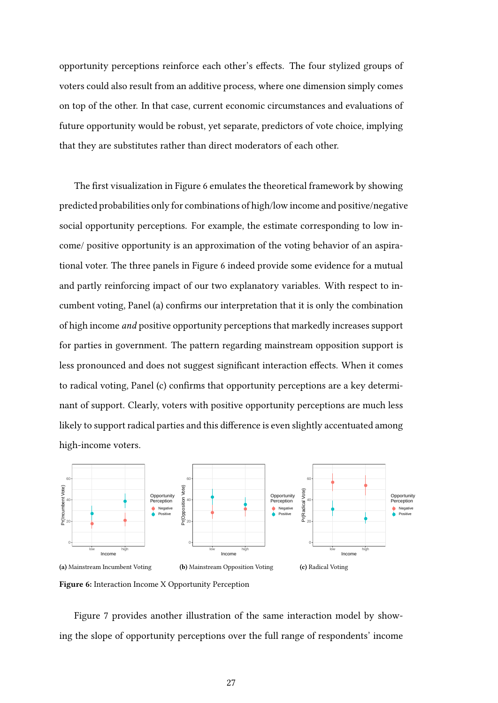opportunity perceptions reinforce each other's effects. The four stylized groups of voters could also result from an additive process, where one dimension simply comes on top of the other. In that case, current economic circumstances and evaluations of future opportunity would be robust, yet separate, predictors of vote choice, implying that they are substitutes rather than direct moderators of each other.

The first visualization in Figure [6](#page-26-0) emulates the theoretical framework by showing predicted probabilities only for combinations of high/low income and positive/negative social opportunity perceptions. For example, the estimate corresponding to low income/ positive opportunity is an approximation of the voting behavior of an aspirational voter. The three panels in Figure [6](#page-26-0) indeed provide some evidence for a mutual and partly reinforcing impact of our two explanatory variables. With respect to incumbent voting, Panel (a) confirms our interpretation that it is only the combination of high income and positive opportunity perceptions that markedly increases support for parties in government. The pattern regarding mainstream opposition support is less pronounced and does not suggest significant interaction effects. When it comes to radical voting, Panel (c) confirms that opportunity perceptions are a key determinant of support. Clearly, voters with positive opportunity perceptions are much less likely to support radical parties and this difference is even slightly accentuated among high-income voters.

<span id="page-26-0"></span>

Figure 6: Interaction Income X Opportunity Perception

Figure [7](#page-27-0) provides another illustration of the same interaction model by showing the slope of opportunity perceptions over the full range of respondents' income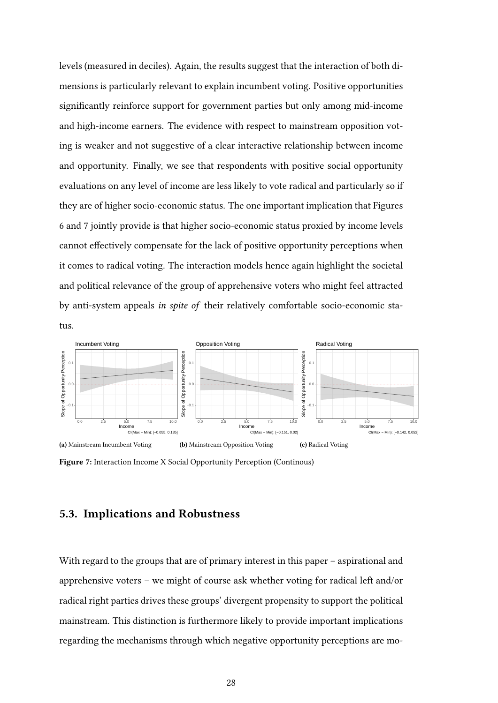levels (measured in deciles). Again, the results suggest that the interaction of both dimensions is particularly relevant to explain incumbent voting. Positive opportunities significantly reinforce support for government parties but only among mid-income and high-income earners. The evidence with respect to mainstream opposition voting is weaker and not suggestive of a clear interactive relationship between income and opportunity. Finally, we see that respondents with positive social opportunity evaluations on any level of income are less likely to vote radical and particularly so if they are of higher socio-economic status. The one important implication that Figures [6](#page-26-0) and [7](#page-27-0) jointly provide is that higher socio-economic status proxied by income levels cannot effectively compensate for the lack of positive opportunity perceptions when it comes to radical voting. The interaction models hence again highlight the societal and political relevance of the group of apprehensive voters who might feel attracted by anti-system appeals in spite of their relatively comfortable socio-economic status.

<span id="page-27-0"></span>

Figure 7: Interaction Income X Social Opportunity Perception (Continous)

#### 5.3. Implications and Robustness

With regard to the groups that are of primary interest in this paper – aspirational and apprehensive voters – we might of course ask whether voting for radical left and/or radical right parties drives these groups' divergent propensity to support the political mainstream. This distinction is furthermore likely to provide important implications regarding the mechanisms through which negative opportunity perceptions are mo-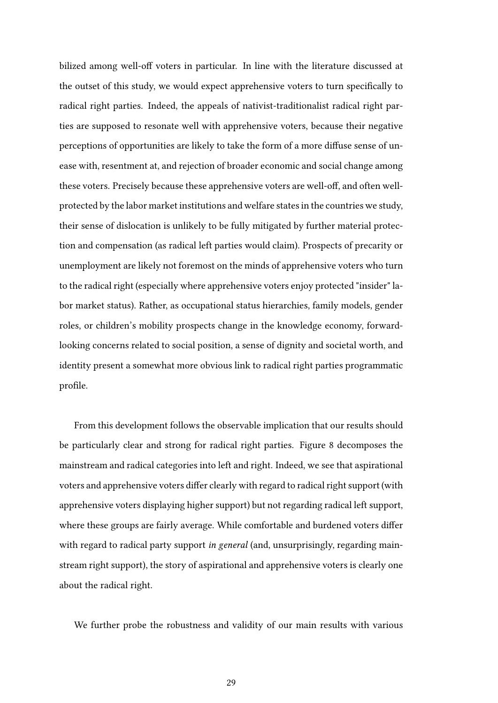bilized among well-off voters in particular. In line with the literature discussed at the outset of this study, we would expect apprehensive voters to turn specifically to radical right parties. Indeed, the appeals of nativist-traditionalist radical right parties are supposed to resonate well with apprehensive voters, because their negative perceptions of opportunities are likely to take the form of a more diffuse sense of unease with, resentment at, and rejection of broader economic and social change among these voters. Precisely because these apprehensive voters are well-off, and often wellprotected by the labor market institutions and welfare states in the countries we study, their sense of dislocation is unlikely to be fully mitigated by further material protection and compensation (as radical left parties would claim). Prospects of precarity or unemployment are likely not foremost on the minds of apprehensive voters who turn to the radical right (especially where apprehensive voters enjoy protected "insider" labor market status). Rather, as occupational status hierarchies, family models, gender roles, or children's mobility prospects change in the knowledge economy, forwardlooking concerns related to social position, a sense of dignity and societal worth, and identity present a somewhat more obvious link to radical right parties programmatic profile.

From this development follows the observable implication that our results should be particularly clear and strong for radical right parties. Figure [8](#page-29-0) decomposes the mainstream and radical categories into left and right. Indeed, we see that aspirational voters and apprehensive voters differ clearly with regard to radical right support (with apprehensive voters displaying higher support) but not regarding radical left support, where these groups are fairly average. While comfortable and burdened voters differ with regard to radical party support *in general* (and, unsurprisingly, regarding mainstream right support), the story of aspirational and apprehensive voters is clearly one about the radical right.

We further probe the robustness and validity of our main results with various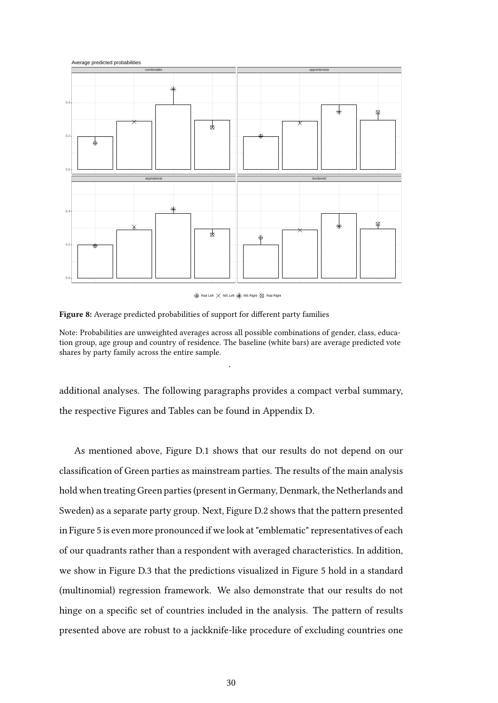<span id="page-29-0"></span>

 $\oplus$  Rad Left  $\times$  MS Left  $\times$  MS Right  $\otimes$  Rad Right

Figure 8: Average predicted probabilities of support for different party families

Note: Probabilities are unweighted averages across all possible combinations of gender, class, education group, age group and country of residence. The baseline (white bars) are average predicted vote shares by party family across the entire sample.

.

additional analyses. The following paragraphs provides a compact verbal summary, the respective Figures and Tables can be found in Appendix [D.](#page-47-1)

As mentioned above, Figure [D.1](#page-47-0) shows that our results do not depend on our classification of Green parties as mainstream parties. The results of the main analysis hold when treating Green parties (present in Germany, Denmark, the Netherlands and Sweden) as a separate party group. Next, Figure [D.2](#page-48-0) shows that the pattern presented in Figure [5](#page-23-0) is even more pronounced if we look at "emblematic" representatives of each of our quadrants rather than a respondent with averaged characteristics. In addition, we show in Figure [D.3](#page-49-0) that the predictions visualized in Figure [5](#page-23-0) hold in a standard (multinomial) regression framework. We also demonstrate that our results do not hinge on a specific set of countries included in the analysis. The pattern of results presented above are robust to a jackknife-like procedure of excluding countries one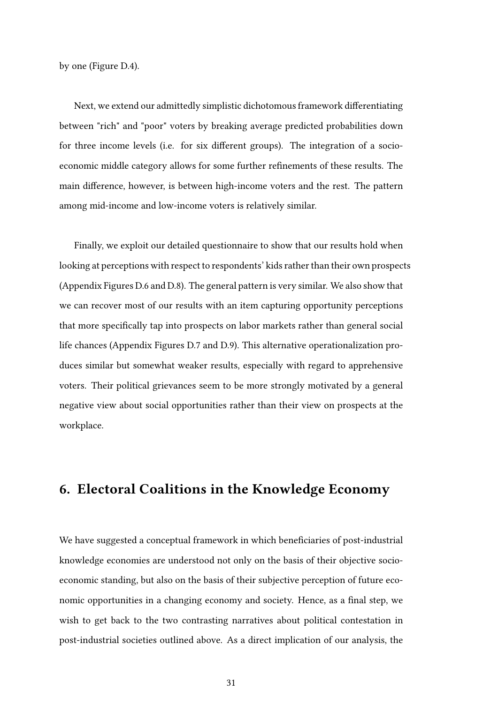by one (Figure [D.4\)](#page-50-0).

Next, we extend our admittedly simplistic dichotomous framework differentiating between "rich" and "poor" voters by breaking average predicted probabilities down for three income levels (i.e. for six different groups). The integration of a socioeconomic middle category allows for some further refinements of these results. The main difference, however, is between high-income voters and the rest. The pattern among mid-income and low-income voters is relatively similar.

Finally, we exploit our detailed questionnaire to show that our results hold when looking at perceptions with respect to respondents' kids rather than their own prospects (Appendix Figures [D.6](#page-52-0) and [D.8\)](#page-54-0). The general pattern is very similar. We also show that we can recover most of our results with an item capturing opportunity perceptions that more specifically tap into prospects on labor markets rather than general social life chances (Appendix Figures [D.7](#page-53-0) and [D.9\)](#page-55-0). This alternative operationalization produces similar but somewhat weaker results, especially with regard to apprehensive voters. Their political grievances seem to be more strongly motivated by a general negative view about social opportunities rather than their view on prospects at the workplace.

#### 6. Electoral Coalitions in the Knowledge Economy

We have suggested a conceptual framework in which beneficiaries of post-industrial knowledge economies are understood not only on the basis of their objective socioeconomic standing, but also on the basis of their subjective perception of future economic opportunities in a changing economy and society. Hence, as a final step, we wish to get back to the two contrasting narratives about political contestation in post-industrial societies outlined above. As a direct implication of our analysis, the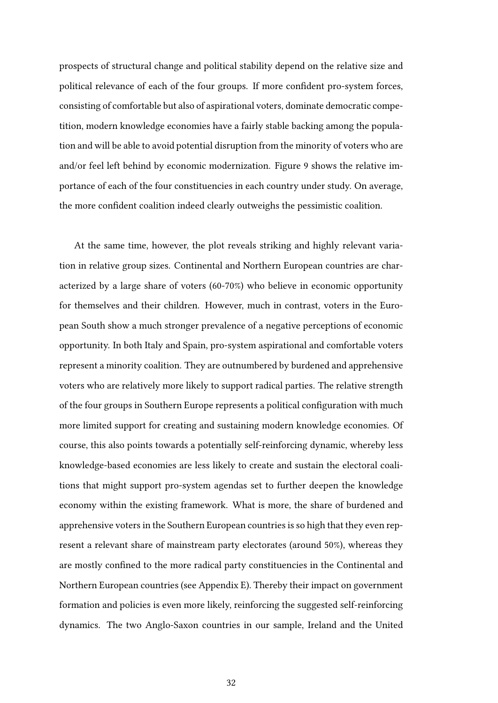prospects of structural change and political stability depend on the relative size and political relevance of each of the four groups. If more confident pro-system forces, consisting of comfortable but also of aspirational voters, dominate democratic competition, modern knowledge economies have a fairly stable backing among the population and will be able to avoid potential disruption from the minority of voters who are and/or feel left behind by economic modernization. Figure [9](#page-32-0) shows the relative importance of each of the four constituencies in each country under study. On average, the more confident coalition indeed clearly outweighs the pessimistic coalition.

At the same time, however, the plot reveals striking and highly relevant variation in relative group sizes. Continental and Northern European countries are characterized by a large share of voters (60-70%) who believe in economic opportunity for themselves and their children. However, much in contrast, voters in the European South show a much stronger prevalence of a negative perceptions of economic opportunity. In both Italy and Spain, pro-system aspirational and comfortable voters represent a minority coalition. They are outnumbered by burdened and apprehensive voters who are relatively more likely to support radical parties. The relative strength of the four groups in Southern Europe represents a political configuration with much more limited support for creating and sustaining modern knowledge economies. Of course, this also points towards a potentially self-reinforcing dynamic, whereby less knowledge-based economies are less likely to create and sustain the electoral coalitions that might support pro-system agendas set to further deepen the knowledge economy within the existing framework. What is more, the share of burdened and apprehensive voters in the Southern European countries is so high that they even represent a relevant share of mainstream party electorates (around 50%), whereas they are mostly confined to the more radical party constituencies in the Continental and Northern European countries (see Appendix [E\)](#page-56-0). Thereby their impact on government formation and policies is even more likely, reinforcing the suggested self-reinforcing dynamics. The two Anglo-Saxon countries in our sample, Ireland and the United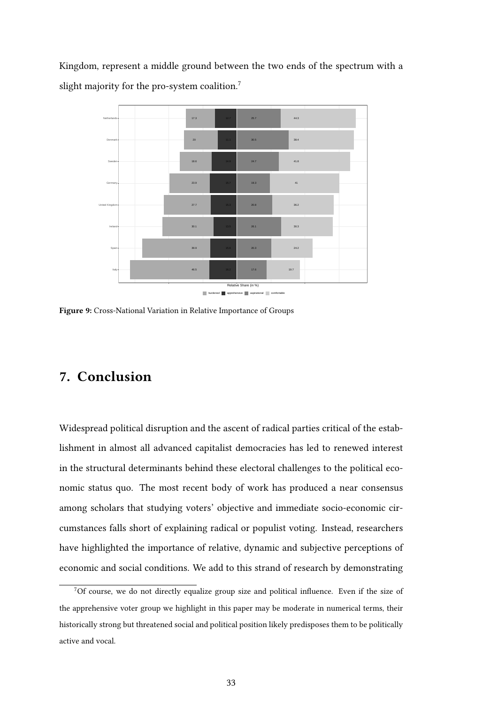Kingdom, represent a middle ground between the two ends of the spectrum with a slight majority for the pro-system coalition.<sup>[7](#page-32-1)</sup>

<span id="page-32-0"></span>

Figure 9: Cross-National Variation in Relative Importance of Groups

### 7. Conclusion

Widespread political disruption and the ascent of radical parties critical of the establishment in almost all advanced capitalist democracies has led to renewed interest in the structural determinants behind these electoral challenges to the political economic status quo. The most recent body of work has produced a near consensus among scholars that studying voters' objective and immediate socio-economic circumstances falls short of explaining radical or populist voting. Instead, researchers have highlighted the importance of relative, dynamic and subjective perceptions of economic and social conditions. We add to this strand of research by demonstrating

<span id="page-32-1"></span> $7$ Of course, we do not directly equalize group size and political influence. Even if the size of the apprehensive voter group we highlight in this paper may be moderate in numerical terms, their historically strong but threatened social and political position likely predisposes them to be politically active and vocal.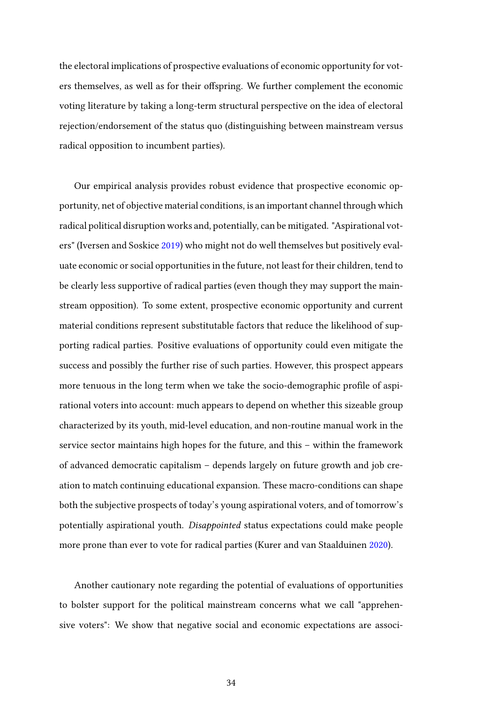the electoral implications of prospective evaluations of economic opportunity for voters themselves, as well as for their offspring. We further complement the economic voting literature by taking a long-term structural perspective on the idea of electoral rejection/endorsement of the status quo (distinguishing between mainstream versus radical opposition to incumbent parties).

Our empirical analysis provides robust evidence that prospective economic opportunity, net of objective material conditions, is an important channel through which radical political disruption works and, potentially, can be mitigated. "Aspirational voters" (Iversen and Soskice [2019\)](#page-37-5) who might not do well themselves but positively evaluate economic or social opportunities in the future, not least for their children, tend to be clearly less supportive of radical parties (even though they may support the mainstream opposition). To some extent, prospective economic opportunity and current material conditions represent substitutable factors that reduce the likelihood of supporting radical parties. Positive evaluations of opportunity could even mitigate the success and possibly the further rise of such parties. However, this prospect appears more tenuous in the long term when we take the socio-demographic profile of aspirational voters into account: much appears to depend on whether this sizeable group characterized by its youth, mid-level education, and non-routine manual work in the service sector maintains high hopes for the future, and this – within the framework of advanced democratic capitalism – depends largely on future growth and job creation to match continuing educational expansion. These macro-conditions can shape both the subjective prospects of today's young aspirational voters, and of tomorrow's potentially aspirational youth. Disappointed status expectations could make people more prone than ever to vote for radical parties (Kurer and van Staalduinen [2020\)](#page-37-14).

Another cautionary note regarding the potential of evaluations of opportunities to bolster support for the political mainstream concerns what we call "apprehensive voters": We show that negative social and economic expectations are associ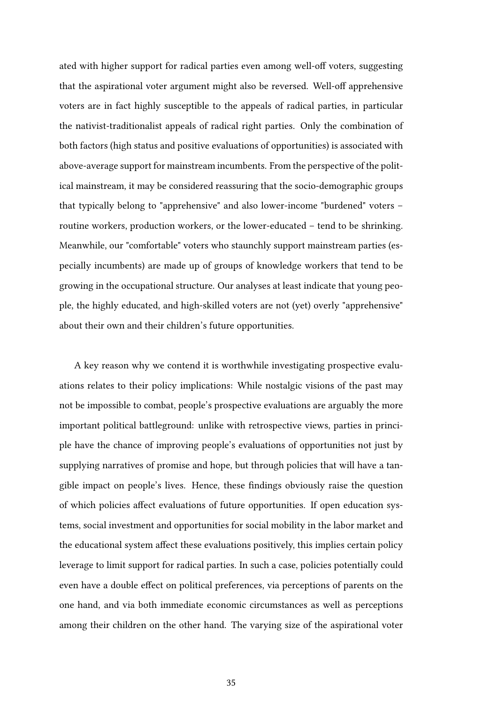ated with higher support for radical parties even among well-off voters, suggesting that the aspirational voter argument might also be reversed. Well-off apprehensive voters are in fact highly susceptible to the appeals of radical parties, in particular the nativist-traditionalist appeals of radical right parties. Only the combination of both factors (high status and positive evaluations of opportunities) is associated with above-average support for mainstream incumbents. From the perspective of the political mainstream, it may be considered reassuring that the socio-demographic groups that typically belong to "apprehensive" and also lower-income "burdened" voters – routine workers, production workers, or the lower-educated – tend to be shrinking. Meanwhile, our "comfortable" voters who staunchly support mainstream parties (especially incumbents) are made up of groups of knowledge workers that tend to be growing in the occupational structure. Our analyses at least indicate that young people, the highly educated, and high-skilled voters are not (yet) overly "apprehensive" about their own and their children's future opportunities.

A key reason why we contend it is worthwhile investigating prospective evaluations relates to their policy implications: While nostalgic visions of the past may not be impossible to combat, people's prospective evaluations are arguably the more important political battleground: unlike with retrospective views, parties in principle have the chance of improving people's evaluations of opportunities not just by supplying narratives of promise and hope, but through policies that will have a tangible impact on people's lives. Hence, these findings obviously raise the question of which policies affect evaluations of future opportunities. If open education systems, social investment and opportunities for social mobility in the labor market and the educational system affect these evaluations positively, this implies certain policy leverage to limit support for radical parties. In such a case, policies potentially could even have a double effect on political preferences, via perceptions of parents on the one hand, and via both immediate economic circumstances as well as perceptions among their children on the other hand. The varying size of the aspirational voter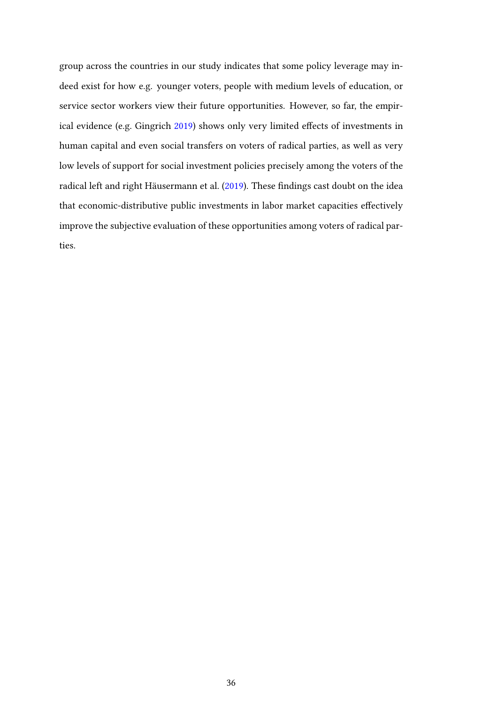group across the countries in our study indicates that some policy leverage may indeed exist for how e.g. younger voters, people with medium levels of education, or service sector workers view their future opportunities. However, so far, the empirical evidence (e.g. Gingrich [2019\)](#page-36-12) shows only very limited effects of investments in human capital and even social transfers on voters of radical parties, as well as very low levels of support for social investment policies precisely among the voters of the radical left and right Häusermann et al. [\(2019\)](#page-36-13). These findings cast doubt on the idea that economic-distributive public investments in labor market capacities effectively improve the subjective evaluation of these opportunities among voters of radical parties.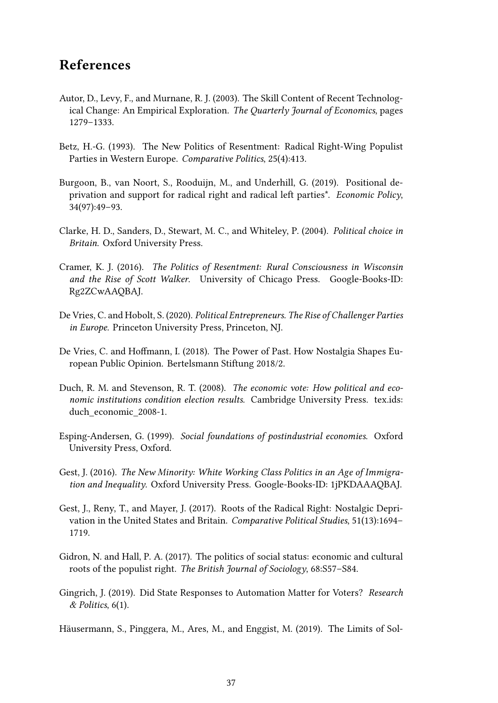### References

- <span id="page-36-11"></span>Autor, D., Levy, F., and Murnane, R. J. (2003). The Skill Content of Recent Technological Change: An Empirical Exploration. The Quarterly Journal of Economics, pages 1279–1333.
- <span id="page-36-8"></span>Betz, H.-G. (1993). The New Politics of Resentment: Radical Right-Wing Populist Parties in Western Europe. Comparative Politics, 25(4):413.
- <span id="page-36-1"></span>Burgoon, B., van Noort, S., Rooduijn, M., and Underhill, G. (2019). Positional deprivation and support for radical right and radical left parties\*. Economic Policy, 34(97):49–93.
- <span id="page-36-6"></span>Clarke, H. D., Sanders, D., Stewart, M. C., and Whiteley, P. (2004). Political choice in Britain. Oxford University Press.
- <span id="page-36-4"></span>Cramer, K. J. (2016). The Politics of Resentment: Rural Consciousness in Wisconsin and the Rise of Scott Walker. University of Chicago Press. Google-Books-ID: Rg2ZCwAAQBAJ.
- <span id="page-36-0"></span>De Vries, C. and Hobolt, S. (2020). Political Entrepreneurs. The Rise of Challenger Parties in Europe. Princeton University Press, Princeton, NJ.
- <span id="page-36-3"></span>De Vries, C. and Hoffmann, I. (2018). The Power of Past. How Nostalgia Shapes European Public Opinion. Bertelsmann Stiftung 2018/2.
- <span id="page-36-7"></span>Duch, R. M. and Stevenson, R. T. (2008). The economic vote: How political and economic institutions condition election results. Cambridge University Press. tex.ids: duch economic 2008-1.
- <span id="page-36-9"></span>Esping-Andersen, G. (1999). Social foundations of postindustrial economies. Oxford University Press, Oxford.
- <span id="page-36-2"></span>Gest, J. (2016). The New Minority: White Working Class Politics in an Age of Immigration and Inequality. Oxford University Press. Google-Books-ID: 1jPKDAAAQBAJ.
- <span id="page-36-10"></span>Gest, J., Reny, T., and Mayer, J. (2017). Roots of the Radical Right: Nostalgic Deprivation in the United States and Britain. Comparative Political Studies, 51(13):1694– 1719.
- <span id="page-36-5"></span>Gidron, N. and Hall, P. A. (2017). The politics of social status: economic and cultural roots of the populist right. The British Journal of Sociology, 68:S57–S84.
- <span id="page-36-12"></span>Gingrich, J. (2019). Did State Responses to Automation Matter for Voters? Research & Politics, 6(1).

<span id="page-36-13"></span>Häusermann, S., Pinggera, M., Ares, M., and Enggist, M. (2019). The Limits of Sol-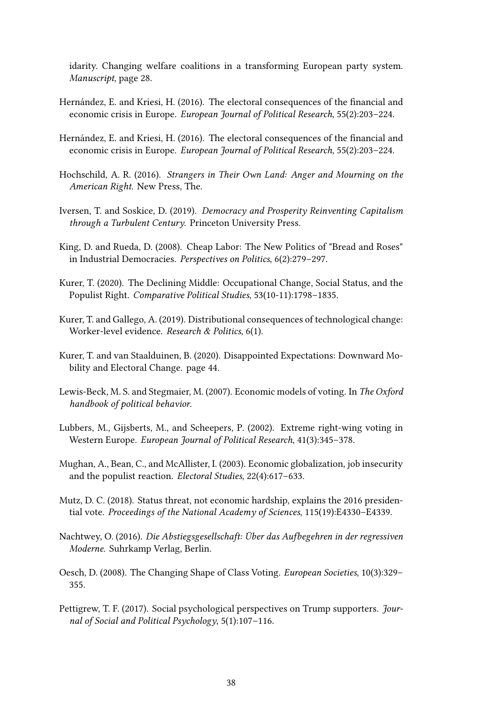idarity. Changing welfare coalitions in a transforming European party system. Manuscript, page 28.

- <span id="page-37-12"></span>Hernández, E. and Kriesi, H. (2016). The electoral consequences of the financial and economic crisis in Europe. European Journal of Political Research, 55(2):203–224.
- <span id="page-37-4"></span>Hernández, E. and Kriesi, H. (2016). The electoral consequences of the financial and economic crisis in Europe. European Journal of Political Research, 55(2):203–224.
- <span id="page-37-2"></span>Hochschild, A. R. (2016). Strangers in Their Own Land: Anger and Mourning on the American Right. New Press, The.
- <span id="page-37-5"></span>Iversen, T. and Soskice, D. (2019). Democracy and Prosperity Reinventing Capitalism through a Turbulent Century. Princeton University Press.
- <span id="page-37-8"></span>King, D. and Rueda, D. (2008). Cheap Labor: The New Politics of "Bread and Roses" in Industrial Democracies. Perspectives on Politics, 6(2):279–297.
- <span id="page-37-1"></span>Kurer, T. (2020). The Declining Middle: Occupational Change, Social Status, and the Populist Right. Comparative Political Studies, 53(10-11):1798–1835.
- <span id="page-37-9"></span>Kurer, T. and Gallego, A. (2019). Distributional consequences of technological change: Worker-level evidence. Research & Politics, 6(1).
- <span id="page-37-14"></span>Kurer, T. and van Staalduinen, B. (2020). Disappointed Expectations: Downward Mobility and Electoral Change. page 44.
- <span id="page-37-3"></span>Lewis-Beck, M. S. and Stegmaier, M. (2007). Economic models of voting. In The Oxford handbook of political behavior.
- <span id="page-37-6"></span>Lubbers, M., Gijsberts, M., and Scheepers, P. (2002). Extreme right-wing voting in Western Europe. European Journal of Political Research, 41(3):345–378.
- <span id="page-37-7"></span>Mughan, A., Bean, C., and McAllister, I. (2003). Economic globalization, job insecurity and the populist reaction. Electoral Studies, 22(4):617–633.
- <span id="page-37-11"></span>Mutz, D. C. (2018). Status threat, not economic hardship, explains the 2016 presidential vote. Proceedings of the National Academy of Sciences, 115(19):E4330–E4339.
- <span id="page-37-10"></span>Nachtwey, O. (2016). Die Abstiegsgesellschaft: Über das Aufbegehren in der regressiven Moderne. Suhrkamp Verlag, Berlin.
- <span id="page-37-13"></span>Oesch, D. (2008). The Changing Shape of Class Voting. European Societies, 10(3):329– 355.
- <span id="page-37-0"></span>Pettigrew, T. F. (2017). Social psychological perspectives on Trump supporters. Journal of Social and Political Psychology, 5(1):107–116.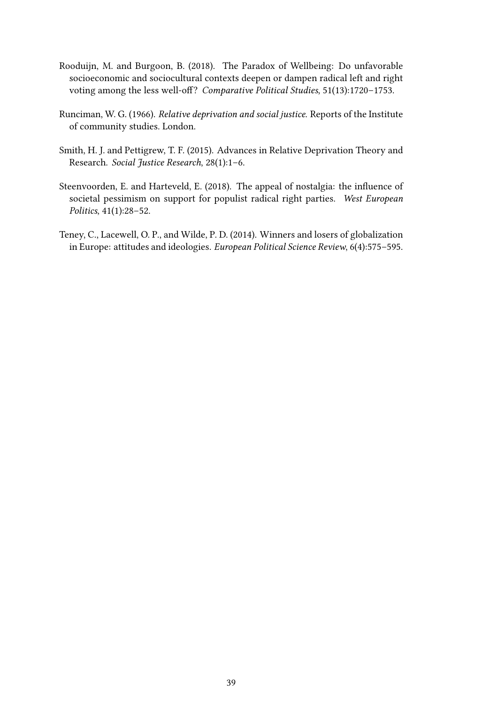- <span id="page-38-0"></span>Rooduijn, M. and Burgoon, B. (2018). The Paradox of Wellbeing: Do unfavorable socioeconomic and sociocultural contexts deepen or dampen radical left and right voting among the less well-off? Comparative Political Studies, 51(13):1720–1753.
- <span id="page-38-4"></span>Runciman, W. G. (1966). Relative deprivation and social justice. Reports of the Institute of community studies. London.
- <span id="page-38-1"></span>Smith, H. J. and Pettigrew, T. F. (2015). Advances in Relative Deprivation Theory and Research. Social Justice Research, 28(1):1–6.
- <span id="page-38-2"></span>Steenvoorden, E. and Harteveld, E. (2018). The appeal of nostalgia: the influence of societal pessimism on support for populist radical right parties. West European Politics, 41(1):28–52.
- <span id="page-38-3"></span>Teney, C., Lacewell, O. P., and Wilde, P. D. (2014). Winners and losers of globalization in Europe: attitudes and ideologies. European Political Science Review, 6(4):575–595.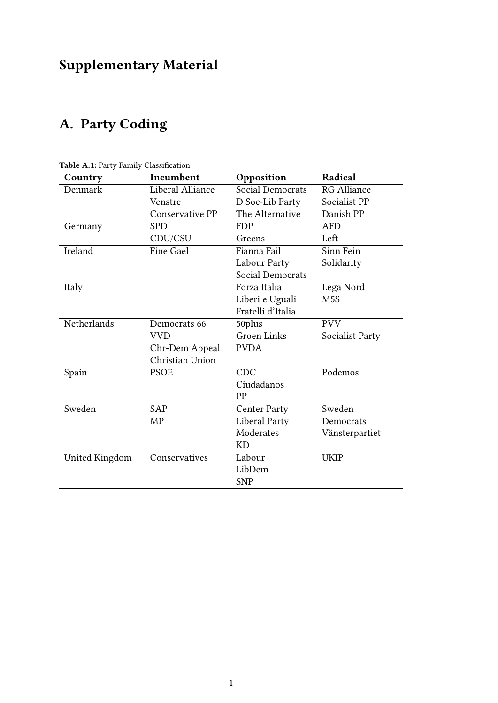## Supplementary Material

## A. Party Coding

| Country            | Incumbent        | Opposition           | Radical            |
|--------------------|------------------|----------------------|--------------------|
| Denmark            | Liberal Alliance | Social Democrats     | <b>RG</b> Alliance |
|                    | Venstre          | D Soc-Lib Party      | Socialist PP       |
|                    | Conservative PP  | The Alternative      | Danish PP          |
| Germany            | <b>SPD</b>       | <b>FDP</b>           | <b>AFD</b>         |
|                    | CDU/CSU          | Greens               | Left               |
| Ireland            | <b>Fine Gael</b> | Fianna Fail          | Sinn Fein          |
|                    |                  | Labour Party         | Solidarity         |
|                    |                  | Social Democrats     |                    |
| Italy              |                  | Forza Italia         | Lega Nord          |
|                    |                  | Liberi e Uguali      | M <sub>5</sub> S   |
|                    |                  | Fratelli d'Italia    |                    |
| <b>Netherlands</b> | Democrats 66     | 50plus               | <b>PVV</b>         |
|                    | <b>VVD</b>       | <b>Groen Links</b>   | Socialist Party    |
|                    | Chr-Dem Appeal   | <b>PVDA</b>          |                    |
|                    | Christian Union  |                      |                    |
| Spain              | <b>PSOE</b>      | <b>CDC</b>           | Podemos            |
|                    |                  | Ciudadanos           |                    |
|                    |                  | <b>PP</b>            |                    |
| Sweden             | <b>SAP</b>       | <b>Center Party</b>  | Sweden             |
|                    | <b>MP</b>        | <b>Liberal Party</b> | Democrats          |
|                    |                  | Moderates            | Vänsterpartiet     |
|                    |                  | KD                   |                    |
| United Kingdom     | Conservatives    | Labour               | <b>UKIP</b>        |
|                    |                  | LibDem               |                    |
|                    |                  | <b>SNP</b>           |                    |

<span id="page-39-0"></span>Table A.1: Party Family Classification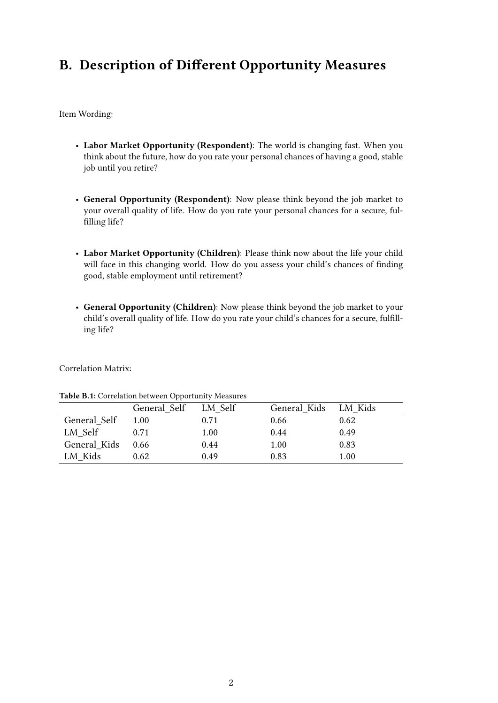## <span id="page-40-0"></span>B. Description of Different Opportunity Measures

Item Wording:

- Labor Market Opportunity (Respondent): The world is changing fast. When you think about the future, how do you rate your personal chances of having a good, stable job until you retire?
- General Opportunity (Respondent): Now please think beyond the job market to your overall quality of life. How do you rate your personal chances for a secure, fulfilling life?
- Labor Market Opportunity (Children): Please think now about the life your child will face in this changing world. How do you assess your child's chances of finding good, stable employment until retirement?
- General Opportunity (Children): Now please think beyond the job market to your child's overall quality of life. How do you rate your child's chances for a secure, fulfilling life?

<span id="page-40-1"></span>Correlation Matrix:

|              | General Self | LM Self | General Kids LM Kids |      |
|--------------|--------------|---------|----------------------|------|
| General Self | 1.00         | 0.71    | 0.66                 | 0.62 |
| LM Self      | 0.71         | 1.00    | 0.44                 | 0.49 |
| General Kids | 0.66         | 0.44    | 1.00                 | 0.83 |
| LM Kids      | 0.62         | 0.49    | 0.83                 | 1.00 |

Table B.1: Correlation between Opportunity Measures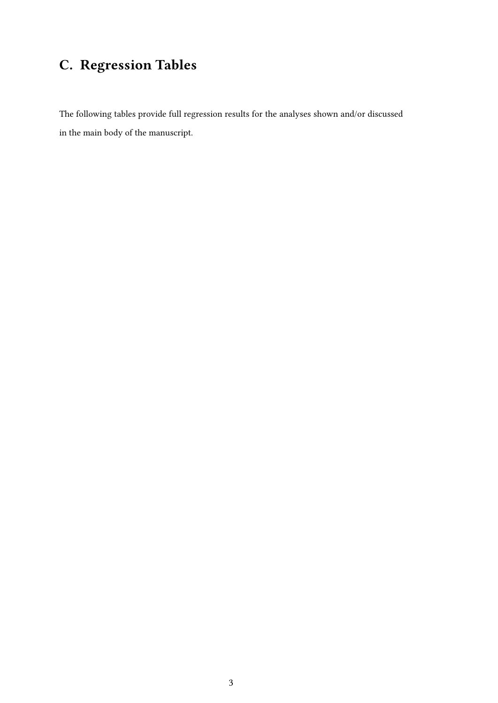## C. Regression Tables

The following tables provide full regression results for the analyses shown and/or discussed in the main body of the manuscript.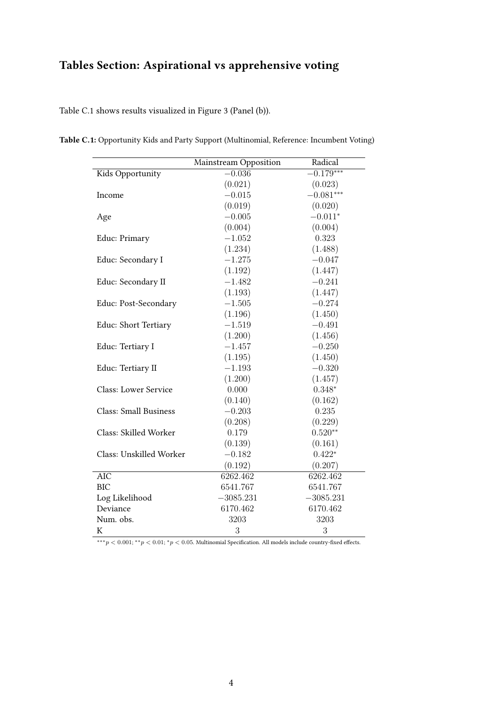## Tables Section: Aspirational vs apprehensive voting

Table [C.1](#page-42-0) shows results visualized in Figure [3](#page-22-0) (Panel (b)).

|                              | Mainstream Opposition | Radical     |
|------------------------------|-----------------------|-------------|
| Kids Opportunity             | $-0.036$              | $-0.179***$ |
|                              | (0.021)               | (0.023)     |
| Income                       | $-0.015$              | $-0.081***$ |
|                              | (0.019)               | (0.020)     |
| Age                          | $-0.005$              | $-0.011*$   |
|                              | (0.004)               | (0.004)     |
| Educ: Primary                | $-1.052$              | 0.323       |
|                              | (1.234)               | (1.488)     |
| Educ: Secondary I            | $-1.275$              | $-0.047$    |
|                              | (1.192)               | (1.447)     |
| Educ: Secondary II           | $-1.482$              | $-0.241$    |
|                              | (1.193)               | (1.447)     |
| Educ: Post-Secondary         | $-1.505$              | $-0.274$    |
|                              | (1.196)               | (1.450)     |
| Educ: Short Tertiary         | $-1.519$              | $-0.491$    |
|                              | (1.200)               | (1.456)     |
| Educ: Tertiary I             | $-1.457$              | $-0.250$    |
|                              | (1.195)               | (1.450)     |
| Educ: Tertiary II            | $-1.193$              | $-0.320$    |
|                              | (1.200)               | (1.457)     |
| <b>Class: Lower Service</b>  | 0.000                 | $0.348*$    |
|                              | (0.140)               | (0.162)     |
| <b>Class: Small Business</b> | $-0.203$              | 0.235       |
|                              | (0.208)               | (0.229)     |
| Class: Skilled Worker        | 0.179                 | $0.520**$   |
|                              | (0.139)               | (0.161)     |
| Class: Unskilled Worker      | $-0.182$              | $0.422*$    |
|                              | (0.192)               | (0.207)     |
| <b>AIC</b>                   | 6262.462              | 6262.462    |
| <b>BIC</b>                   | 6541.767              | 6541.767    |
| Log Likelihood               | $-3085.231$           | $-3085.231$ |
| Deviance                     | 6170.462              | 6170.462    |
| Num. obs.                    | 3203                  | 3203        |
| К                            | 3                     | 3           |

<span id="page-42-0"></span>Table C.1: Opportunity Kids and Party Support (Multinomial, Reference: Incumbent Voting)

∗∗∗*p <* 0*.*001; ∗∗*p <* 0*.*01; <sup>∗</sup>*p <* 0*.*05. Multinomial Specification. All models include country-fixed effects.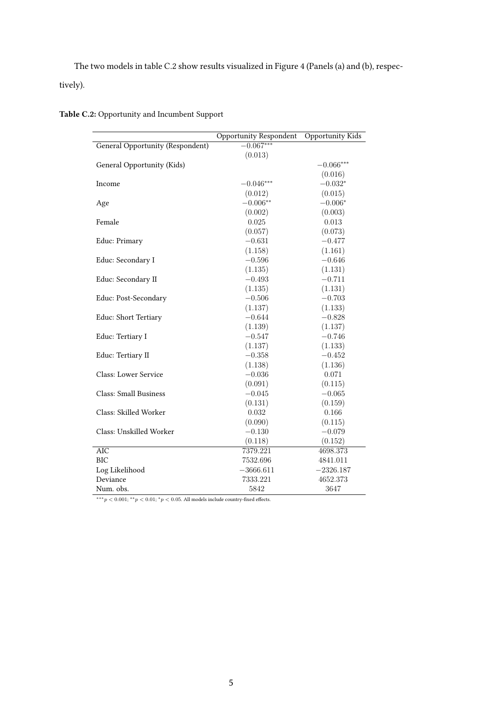The two models in table [C.2](#page-43-0) show results visualized in Figure [4](#page-22-1) (Panels (a) and (b), respectively).

|                                  | Opportunity Respondent | Opportunity Kids |
|----------------------------------|------------------------|------------------|
| General Opportunity (Respondent) | $-0.067***$            |                  |
|                                  | (0.013)                |                  |
| General Opportunity (Kids)       |                        | $-0.066***$      |
|                                  |                        | (0.016)          |
| Income                           | $-0.046***$            | $-0.032*$        |
|                                  | (0.012)                | (0.015)          |
| Age                              | $-0.006**$             | $-0.006*$        |
|                                  | (0.002)                | (0.003)          |
| Female                           | 0.025                  | 0.013            |
|                                  | (0.057)                | (0.073)          |
| Educ: Primary                    | $-0.631$               | $-0.477$         |
|                                  | (1.158)                | (1.161)          |
| Educ: Secondary I                | $-0.596$               | $-0.646$         |
|                                  | (1.135)                | (1.131)          |
| Educ: Secondary II               | $-0.493$               | $-0.711$         |
|                                  | (1.135)                | (1.131)          |
| Educ: Post-Secondary             | $-0.506$               | $-0.703$         |
|                                  | (1.137)                | (1.133)          |
| Educ: Short Tertiary             | $-0.644$               | $-0.828$         |
|                                  | (1.139)                | (1.137)          |
| Educ: Tertiary I                 | $-0.547$               | $-0.746$         |
|                                  | (1.137)                | (1.133)          |
| Educ: Tertiary II                | $-0.358$               | $-0.452$         |
|                                  | (1.138)                | (1.136)          |
| <b>Class: Lower Service</b>      | $-0.036$               | 0.071            |
|                                  | (0.091)                | (0.115)          |
| <b>Class: Small Business</b>     | $-0.045$               | $-0.065$         |
|                                  | (0.131)                | (0.159)          |
| Class: Skilled Worker            | 0.032                  | 0.166            |
|                                  | (0.090)                | (0.115)          |
| Class: Unskilled Worker          | $-0.130$               | $-0.079$         |
|                                  | (0.118)                | (0.152)          |
| <b>AIC</b>                       | 7379.221               | 4698.373         |
| <b>BIC</b>                       | 7532.696               | 4841.011         |
| Log Likelihood                   | $-3666.611$            | $-2326.187$      |
| Deviance                         | 7333.221               | 4652.373         |
| Num. obs.                        | 5842                   | 3647             |

<span id="page-43-0"></span>Table C.2: Opportunity and Incumbent Support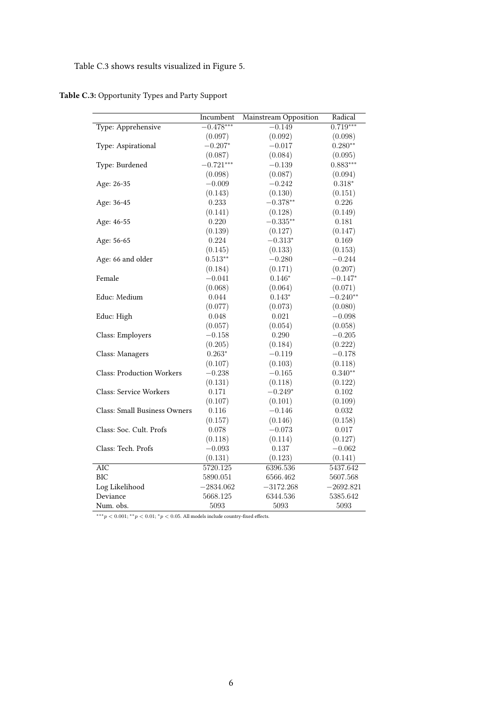#### Table [C.3](#page-44-0) shows results visualized in Figure [5.](#page-23-0)

<span id="page-44-0"></span>Table C.3: Opportunity Types and Party Support

|                                     | Incumbent   | Mainstream Opposition | Radical     |
|-------------------------------------|-------------|-----------------------|-------------|
| Type: Apprehensive                  | $-0.478***$ | $-0.149$              | $0.719***$  |
|                                     | (0.097)     | (0.092)               | (0.098)     |
| Type: Aspirational                  | $-0.207*$   | $-0.017$              | $0.280**$   |
|                                     | (0.087)     | (0.084)               | (0.095)     |
| Type: Burdened                      | $-0.721***$ | $-0.139$              | $0.883***$  |
|                                     | (0.098)     | (0.087)               | (0.094)     |
| Age: 26-35                          | $-0.009$    | $-0.242$              | $0.318*$    |
|                                     | (0.143)     | (0.130)               | (0.151)     |
| Age: 36-45                          | 0.233       | $-0.378**$            | 0.226       |
|                                     | (0.141)     | (0.128)               | (0.149)     |
| Age: 46-55                          | 0.220       | $-0.335**$            | 0.181       |
|                                     | (0.139)     | (0.127)               | (0.147)     |
| Age: 56-65                          | 0.224       | $-0.313*$             | 0.169       |
|                                     | (0.145)     | (0.133)               | (0.153)     |
| Age: 66 and older                   | $0.513**$   | $-0.280$              | $-0.244$    |
|                                     | (0.184)     | (0.171)               | (0.207)     |
| Female                              | $-0.041$    | $0.146*$              | $-0.147*$   |
|                                     | (0.068)     | (0.064)               | (0.071)     |
| Educ: Medium                        | 0.044       | $0.143*$              | $-0.240**$  |
|                                     | (0.077)     | (0.073)               | (0.080)     |
| Educ: High                          | 0.048       | $0.021\,$             | $-0.098$    |
|                                     | (0.057)     | (0.054)               | (0.058)     |
| Class: Employers                    | $-0.158$    | 0.290                 | $-0.205$    |
|                                     | (0.205)     | (0.184)               | (0.222)     |
| Class: Managers                     | $0.263*$    | $-0.119$              | $-0.178$    |
|                                     | (0.107)     | (0.103)               | (0.118)     |
| <b>Class: Production Workers</b>    | $-0.238$    | $-0.165$              | $0.340**$   |
|                                     | (0.131)     | (0.118)               | (0.122)     |
| <b>Class: Service Workers</b>       | 0.171       | $-0.249*$             | 0.102       |
|                                     | (0.107)     | (0.101)               | (0.109)     |
| <b>Class: Small Business Owners</b> | 0.116       | $-0.146$              | 0.032       |
|                                     | (0.157)     | (0.146)               | (0.158)     |
| Class: Soc. Cult. Profs             | 0.078       | $-0.073$              | $0.017\,$   |
|                                     | (0.118)     | (0.114)               | (0.127)     |
| Class: Tech. Profs                  | $-0.093$    | 0.137                 | $-0.062$    |
|                                     | (0.131)     | (0.123)               | (0.141)     |
| $\overline{AIC}$                    | 5720.125    | 6396.536              | 5437.642    |
| <b>BIC</b>                          | 5890.051    | 6566.462              | 5607.568    |
| Log Likelihood                      | $-2834.062$ | $-3172.268$           | $-2692.821$ |
| Deviance                            | 5668.125    | 6344.536              | 5385.642    |
| Num. obs.                           | 5093        | 5093                  | 5093        |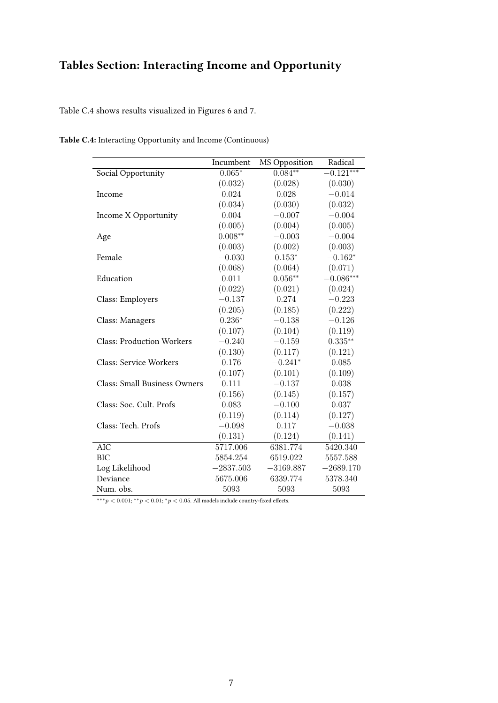## Tables Section: Interacting Income and Opportunity

Table [C.4](#page-45-0) shows results visualized in Figures [6](#page-26-0) and [7.](#page-27-0)

|                                     | Incumbent   | MS Opposition | Radical     |
|-------------------------------------|-------------|---------------|-------------|
| Social Opportunity                  | $0.065*$    | $0.084**$     | $-0.121***$ |
|                                     | (0.032)     | (0.028)       | (0.030)     |
| Income                              | 0.024       | 0.028         | $-0.014$    |
|                                     | (0.034)     | (0.030)       | (0.032)     |
| Income X Opportunity                | 0.004       | $-0.007$      | $-0.004$    |
|                                     | (0.005)     | (0.004)       | (0.005)     |
| Age                                 | $0.008**$   | $-0.003$      | $-0.004$    |
|                                     | (0.003)     | (0.002)       | (0.003)     |
| Female                              | $-0.030$    | $0.153*$      | $-0.162*$   |
|                                     | (0.068)     | (0.064)       | (0.071)     |
| Education                           | 0.011       | $0.056**$     | $-0.086***$ |
|                                     | (0.022)     | (0.021)       | (0.024)     |
| Class: Employers                    | $-0.137$    | 0.274         | $-0.223$    |
|                                     | (0.205)     | (0.185)       | (0.222)     |
| Class: Managers                     | $0.236*$    | $-0.138$      | $-0.126$    |
|                                     | (0.107)     | (0.104)       | (0.119)     |
| <b>Class: Production Workers</b>    | $-0.240$    | $-0.159$      | $0.335**$   |
|                                     | (0.130)     | (0.117)       | (0.121)     |
| Class: Service Workers              | 0.176       | $-0.241*$     | 0.085       |
|                                     | (0.107)     | (0.101)       | (0.109)     |
| <b>Class: Small Business Owners</b> | 0.111       | $-0.137$      | 0.038       |
|                                     | (0.156)     | (0.145)       | (0.157)     |
| Class: Soc. Cult. Profs             | 0.083       | $-0.100$      | 0.037       |
|                                     | (0.119)     | (0.114)       | (0.127)     |
| Class: Tech. Profs                  | $-0.098$    | 0.117         | $-0.038$    |
|                                     | (0.131)     | (0.124)       | (0.141)     |
| <b>AIC</b>                          | 5717.006    | 6381.774      | 5420.340    |
| <b>BIC</b>                          | 5854.254    | 6519.022      | 5557.588    |
| Log Likelihood                      | $-2837.503$ | $-3169.887$   | $-2689.170$ |
| Deviance                            | 5675.006    | 6339.774      | 5378.340    |
| Num. obs.                           | 5093        | 5093          | 5093        |

<span id="page-45-0"></span>Table C.4: Interacting Opportunity and Income (Continuous)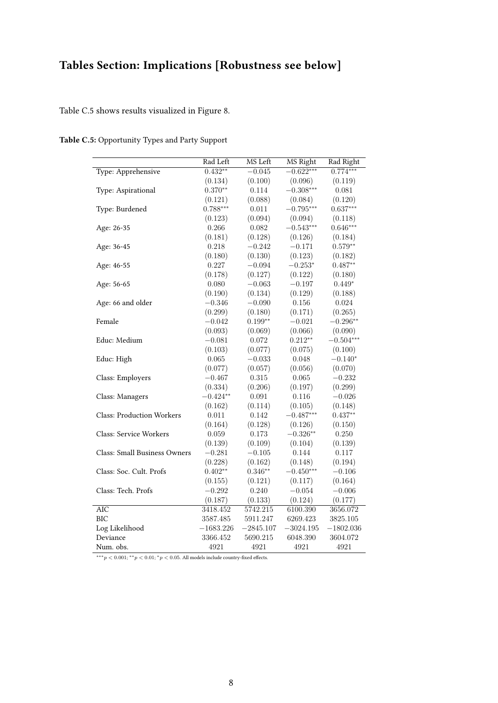## Tables Section: Implications [Robustness see below]

Table [C.5](#page-46-0) shows results visualized in Figure [8.](#page-29-0)

<span id="page-46-0"></span>

| Table C.5: Opportunity Types and Party Support |  |  |
|------------------------------------------------|--|--|
|                                                |  |  |

|                                     | Rad Left    | MS Left     | MS Right    | Rad Right   |
|-------------------------------------|-------------|-------------|-------------|-------------|
| Type: Apprehensive                  | $0.432**$   | $-0.045$    | $-0.622***$ | $0.774***$  |
|                                     | (0.134)     | (0.100)     | (0.096)     | (0.119)     |
| Type: Aspirational                  | $0.370**$   | 0.114       | $-0.308***$ | 0.081       |
|                                     | (0.121)     | (0.088)     | (0.084)     | (0.120)     |
| Type: Burdened                      | $0.788***$  | 0.011       | $-0.795***$ | $0.637***$  |
|                                     | (0.123)     | (0.094)     | (0.094)     | (0.118)     |
| Age: 26-35                          | 0.266       | 0.082       | $-0.543***$ | $0.646***$  |
|                                     | (0.181)     | (0.128)     | (0.126)     | (0.184)     |
| Age: 36-45                          | 0.218       | $-0.242$    | $-0.171$    | $0.579**$   |
|                                     | (0.180)     | (0.130)     | (0.123)     | (0.182)     |
| Age: 46-55                          | 0.227       | $-0.094$    | $-0.253*$   | $0.487**$   |
|                                     | (0.178)     | (0.127)     | (0.122)     | (0.180)     |
| Age: 56-65                          | 0.080       | $-0.063$    | $-0.197$    | $0.449*$    |
|                                     | (0.190)     | (0.134)     | (0.129)     | (0.188)     |
| Age: 66 and older                   | $-0.346$    | $-0.090$    | 0.156       | $\,0.024\,$ |
|                                     | (0.299)     | (0.180)     | (0.171)     | (0.265)     |
| Female                              | $-0.042$    | $0.199**$   | $-0.021$    | $-0.296**$  |
|                                     | (0.093)     | (0.069)     | (0.066)     | (0.090)     |
| Educ: Medium                        | $-0.081$    | 0.072       | $0.212**$   | $-0.504***$ |
|                                     | (0.103)     | (0.077)     | (0.075)     | (0.100)     |
| Educ: High                          | 0.065       | $-0.033$    | 0.048       | $-0.140*$   |
|                                     | (0.077)     | (0.057)     | (0.056)     | (0.070)     |
| Class: Employers                    | $-0.467$    | 0.315       | 0.065       | $-0.232$    |
|                                     | (0.334)     | (0.206)     | (0.197)     | (0.299)     |
| Class: Managers                     | $-0.424**$  | 0.091       | 0.116       | $-0.026$    |
|                                     | (0.162)     | (0.114)     | (0.105)     | (0.148)     |
| <b>Class: Production Workers</b>    | 0.011       | 0.142       | $-0.487***$ | $0.437**$   |
|                                     | (0.164)     | (0.128)     | (0.126)     | (0.150)     |
| <b>Class: Service Workers</b>       | 0.059       | 0.173       | $-0.326**$  | 0.250       |
|                                     | (0.139)     | (0.109)     | (0.104)     | (0.139)     |
| <b>Class: Small Business Owners</b> | $-0.281$    | $-0.105$    | 0.144       | 0.117       |
|                                     | (0.228)     | (0.162)     | (0.148)     | (0.194)     |
| Class: Soc. Cult. Profs             | $0.402**$   | $0.346**$   | $-0.450***$ | $-0.106$    |
|                                     | (0.155)     | (0.121)     | (0.117)     | (0.164)     |
| Class: Tech. Profs                  | $-0.292$    | 0.240       | $-0.054$    | $-0.006$    |
|                                     | (0.187)     | (0.133)     | (0.124)     | (0.177)     |
| <b>AIC</b>                          | 3418.452    | 5742.215    | 6100.390    | 3656.072    |
| <b>BIC</b>                          | 3587.485    | 5911.247    | 6269.423    | 3825.105    |
| Log Likelihood                      | $-1683.226$ | $-2845.107$ | $-3024.195$ | $-1802.036$ |
| Deviance                            | 3366.452    | 5690.215    | 6048.390    | 3604.072    |
| Num. obs.                           | 4921        | 4921        | 4921        | 4921        |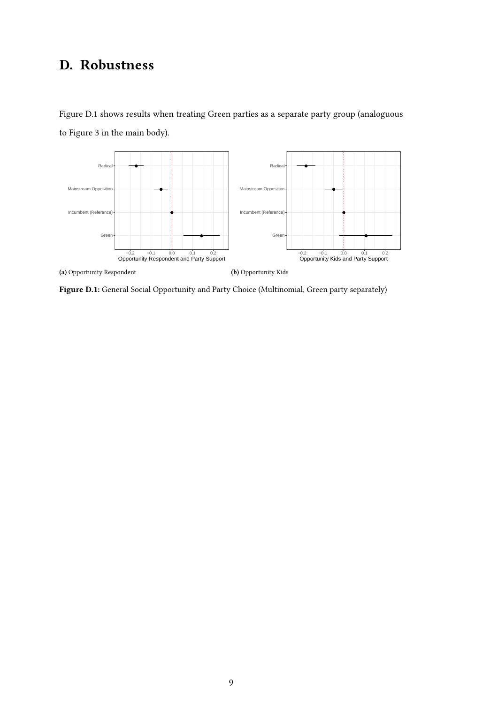## <span id="page-47-1"></span>D. Robustness

(a) Opportunity Respondent

<span id="page-47-0"></span>

−0.2 −0.1 0.0 0.1 0.2 Opportunity Kids and Party Support

Figure [D.1](#page-47-0) shows results when treating Green parties as a separate party group (analoguous to Figure [3](#page-22-0) in the main body).

Figure D.1: General Social Opportunity and Party Choice (Multinomial, Green party separately)

(b) Opportunity Kids

−0.2 −0.1 0.0 0.1 0.2 Opportunity Respondent and Party Support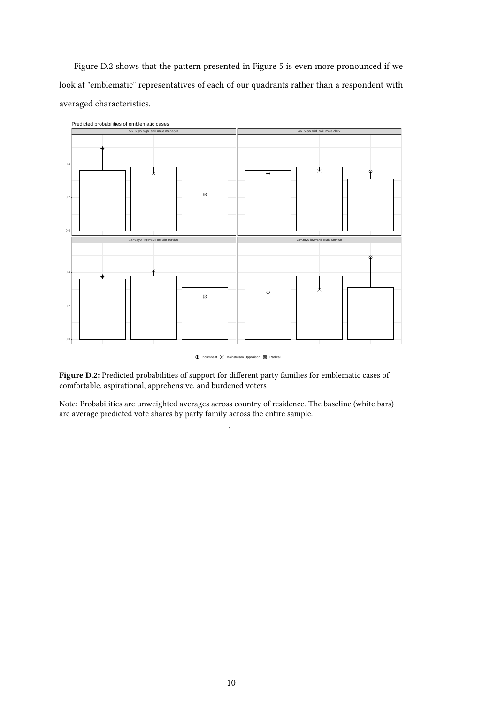Figure [D.2](#page-48-0) shows that the pattern presented in Figure [5](#page-23-0) is even more pronounced if we look at "emblematic" representatives of each of our quadrants rather than a respondent with averaged characteristics.

<span id="page-48-0"></span>

Predicted probabilities of emblematic cases

 $\bigoplus$  Incumbent  $\times$  Mainstream Opposition  $\boxtimes$  Radical

Figure D.2: Predicted probabilities of support for different party families for emblematic cases of comfortable, aspirational, apprehensive, and burdened voters

Note: Probabilities are unweighted averages across country of residence. The baseline (white bars) are average predicted vote shares by party family across the entire sample.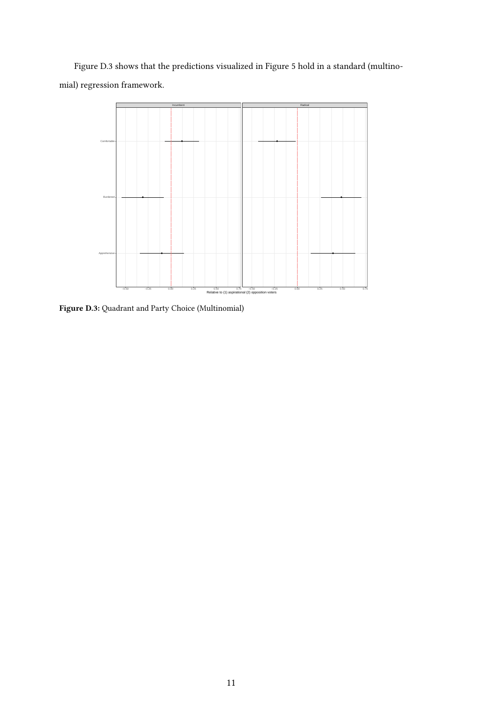Figure [D.3](#page-49-0) shows that the predictions visualized in Figure [5](#page-23-0) hold in a standard (multinomial) regression framework.

<span id="page-49-0"></span>

Figure D.3: Quadrant and Party Choice (Multinomial)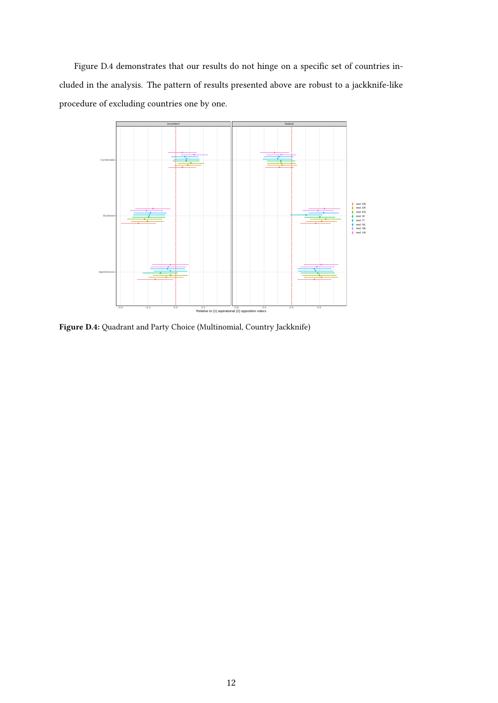Figure [D.4](#page-50-0) demonstrates that our results do not hinge on a specific set of countries included in the analysis. The pattern of results presented above are robust to a jackknife-like procedure of excluding countries one by one.

<span id="page-50-0"></span>

Figure D.4: Quadrant and Party Choice (Multinomial, Country Jackknife)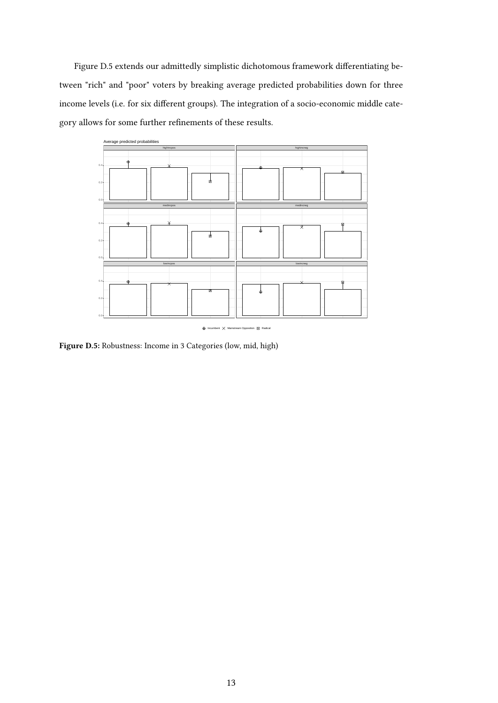Figure [D.5](#page-51-0) extends our admittedly simplistic dichotomous framework differentiating between "rich" and "poor" voters by breaking average predicted probabilities down for three income levels (i.e. for six different groups). The integration of a socio-economic middle category allows for some further refinements of these results.

<span id="page-51-0"></span>

Figure D.5: Robustness: Income in 3 Categories (low, mid, high)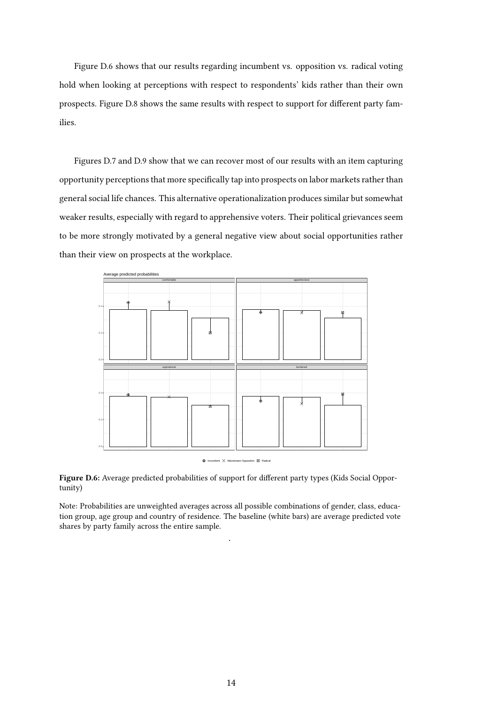Figure [D.6](#page-52-0) shows that our results regarding incumbent vs. opposition vs. radical voting hold when looking at perceptions with respect to respondents' kids rather than their own prospects. Figure [D.8](#page-54-0) shows the same results with respect to support for different party families.

Figures [D.7](#page-53-0) and [D.9](#page-55-0) show that we can recover most of our results with an item capturing opportunity perceptions that more specifically tap into prospects on labor markets rather than general social life chances. This alternative operationalization produces similar but somewhat weaker results, especially with regard to apprehensive voters. Their political grievances seem to be more strongly motivated by a general negative view about social opportunities rather than their view on prospects at the workplace.

<span id="page-52-0"></span>

Figure D.6: Average predicted probabilities of support for different party types (Kids Social Opportunity)

Note: Probabilities are unweighted averages across all possible combinations of gender, class, education group, age group and country of residence. The baseline (white bars) are average predicted vote shares by party family across the entire sample.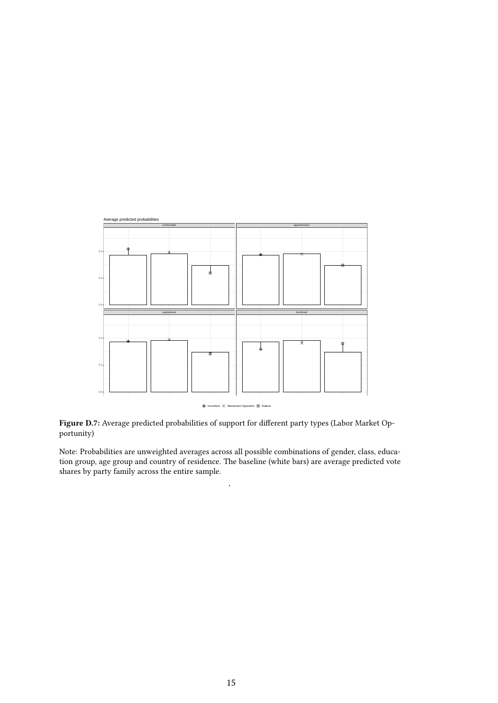<span id="page-53-0"></span>

Figure D.7: Average predicted probabilities of support for different party types (Labor Market Opportunity)

Note: Probabilities are unweighted averages across all possible combinations of gender, class, education group, age group and country of residence. The baseline (white bars) are average predicted vote shares by party family across the entire sample.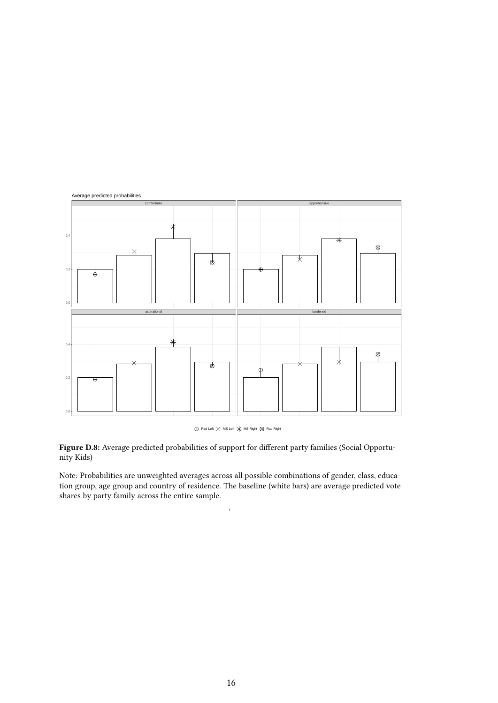<span id="page-54-0"></span>

 $\oplus$  Rad Left  $\times$  MS Left  $\divideontimes$  MS Right  $\otimes$  Rad Right

Figure D.8: Average predicted probabilities of support for different party families (Social Opportunity Kids)

Note: Probabilities are unweighted averages across all possible combinations of gender, class, education group, age group and country of residence. The baseline (white bars) are average predicted vote shares by party family across the entire sample.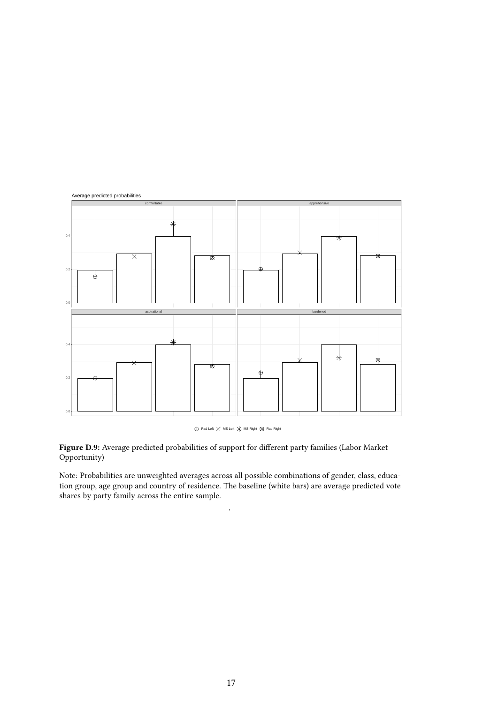<span id="page-55-0"></span>

 $\oplus$  Rad Left  $\times$  MS Left  $\divideontimes$  MS Right  $\otimes$  Rad Right

Figure D.9: Average predicted probabilities of support for different party families (Labor Market Opportunity)

Note: Probabilities are unweighted averages across all possible combinations of gender, class, education group, age group and country of residence. The baseline (white bars) are average predicted vote shares by party family across the entire sample.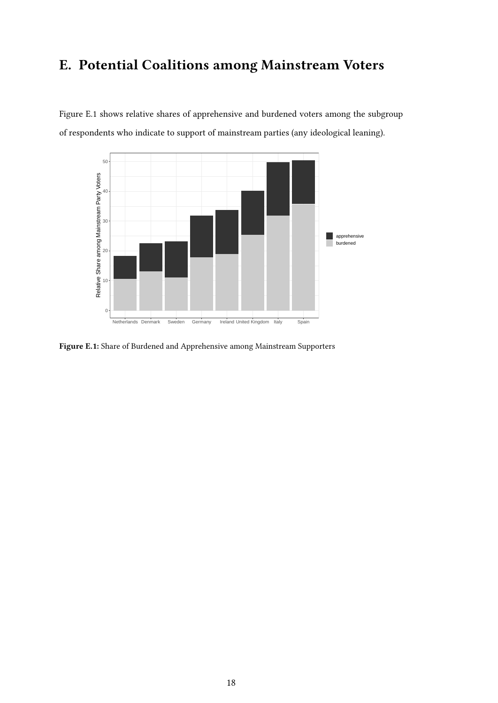## <span id="page-56-0"></span>E. Potential Coalitions among Mainstream Voters

Figure [E.1](#page-56-1) shows relative shares of apprehensive and burdened voters among the subgroup of respondents who indicate to support of mainstream parties (any ideological leaning).

<span id="page-56-1"></span>

Figure E.1: Share of Burdened and Apprehensive among Mainstream Supporters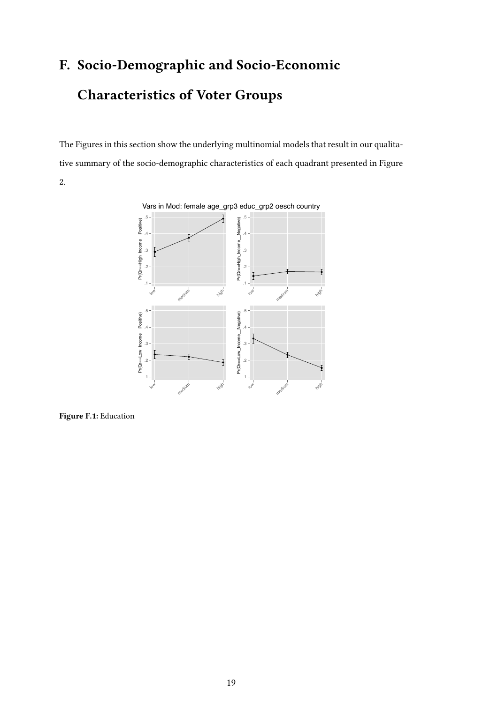# <span id="page-57-0"></span>F. Socio-Demographic and Socio-Economic Characteristics of Voter Groups

The Figures in this section show the underlying multinomial models that result in our qualitative summary of the socio-demographic characteristics of each quadrant presented in Figure [2.](#page-18-0)



Figure F.1: Education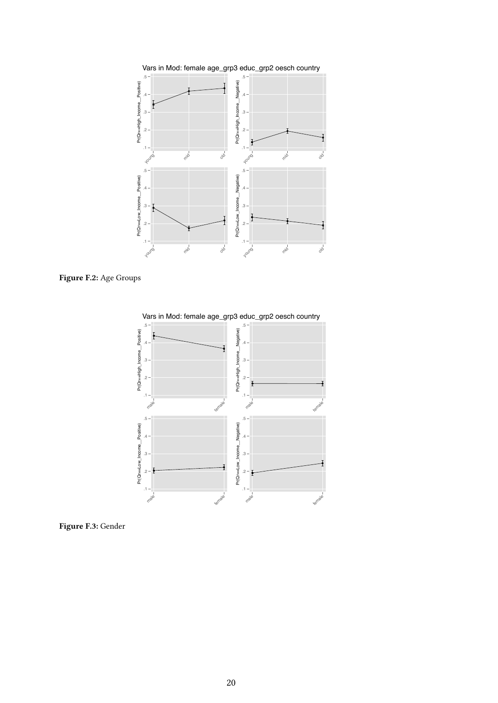





Figure F.3: Gender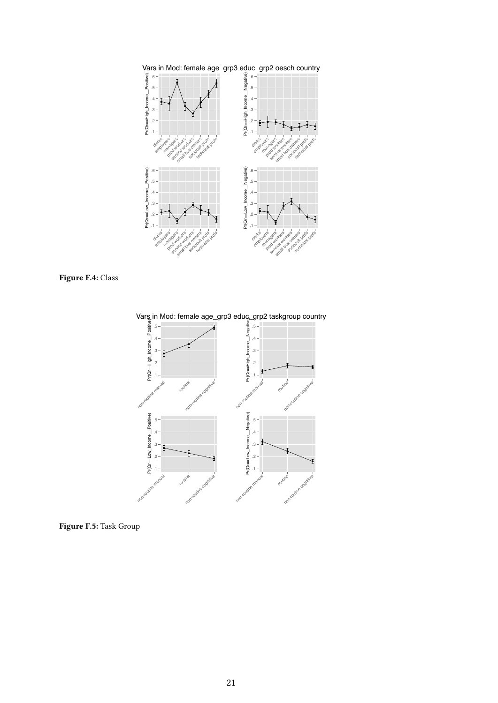



Vars in Mod: female age\_grp3 educ\_grp2 taskgroup country



Figure F.5: Task Group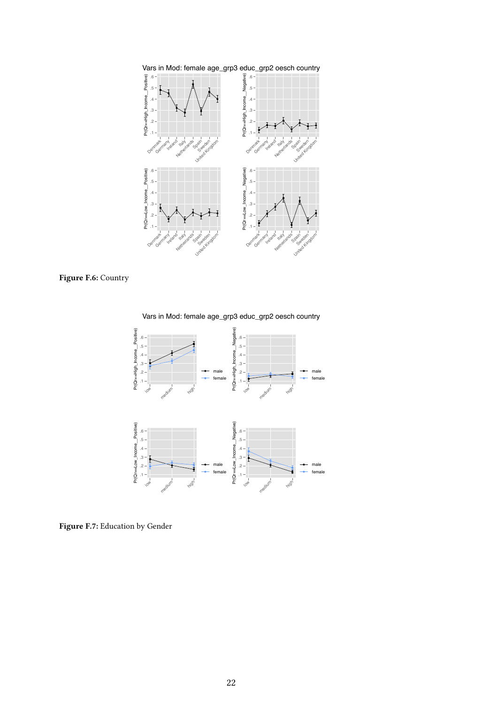



Vars in Mod: female age\_grp3 educ\_grp2 oesch country



Figure F.7: Education by Gender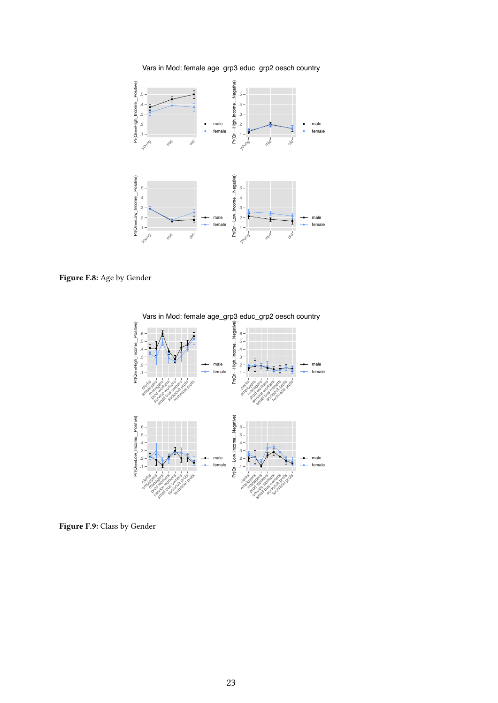Vars in Mod: female age\_grp3 educ\_grp2 oesch country



Figure F.8: Age by Gender



Vars in Mod: female age\_grp3 educ\_grp2 oesch country

Figure F.9: Class by Gender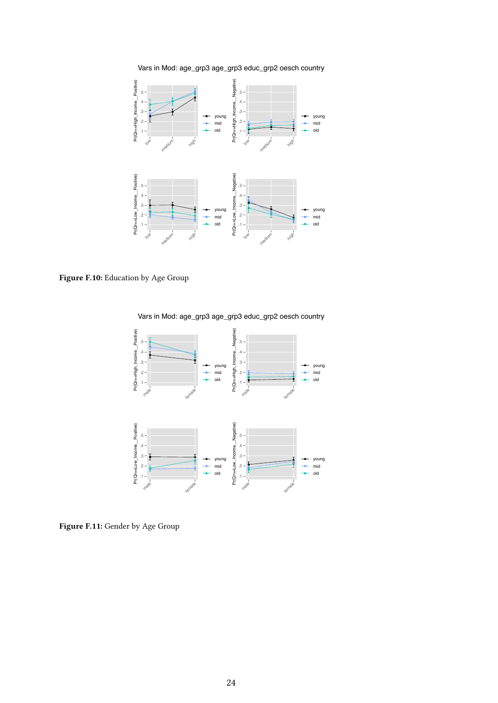

Vars in Mod: age\_grp3 age\_grp3 educ\_grp2 oesch country

Figure F.10: Education by Age Group



Vars in Mod: age\_grp3 age\_grp3 educ\_grp2 oesch country

Figure F.11: Gender by Age Group